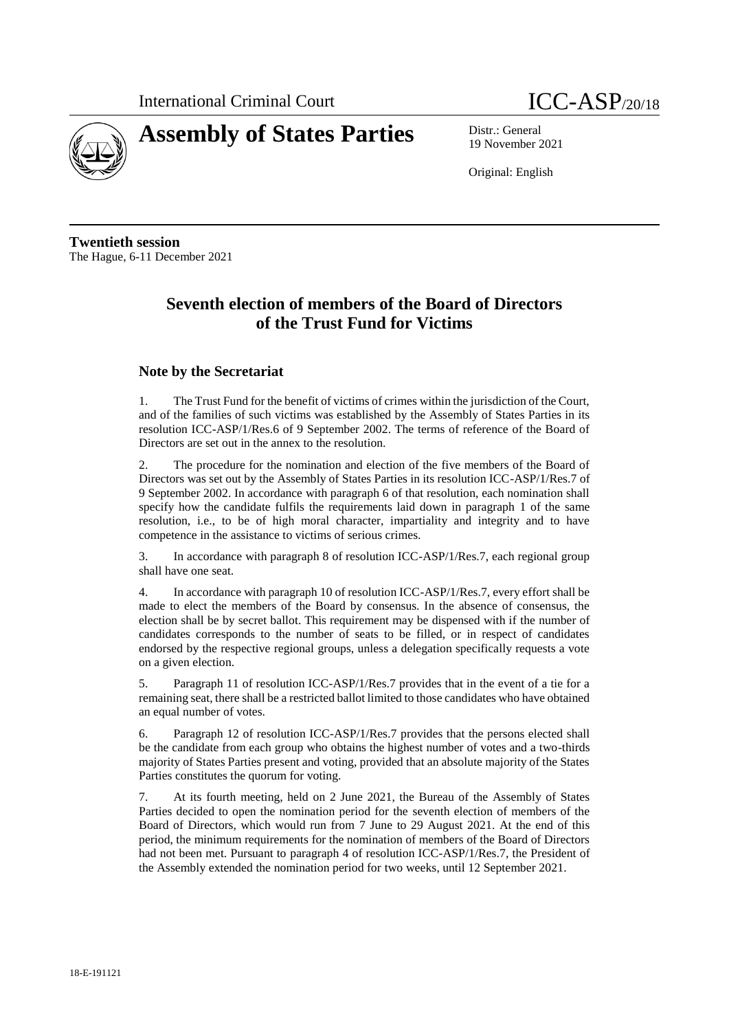



19 November 2021

Original: English

**Twentieth session** The Hague, 6-11 December 2021

# **Seventh election of members of the Board of Directors of the Trust Fund for Victims**

# **Note by the Secretariat**

1. The Trust Fund for the benefit of victims of crimes within the jurisdiction of the Court, and of the families of such victims was established by the Assembly of States Parties in its resolution ICC-ASP/1/Res.6 of 9 September 2002. The terms of reference of the Board of Directors are set out in the annex to the resolution.

2. The procedure for the nomination and election of the five members of the Board of Directors was set out by the Assembly of States Parties in its resolution ICC-ASP/1/Res.7 of 9 September 2002. In accordance with paragraph 6 of that resolution, each nomination shall specify how the candidate fulfils the requirements laid down in paragraph 1 of the same resolution, i.e., to be of high moral character, impartiality and integrity and to have competence in the assistance to victims of serious crimes.

3. In accordance with paragraph 8 of resolution ICC-ASP/1/Res.7, each regional group shall have one seat.

4. In accordance with paragraph 10 of resolution ICC-ASP/1/Res.7, every effort shall be made to elect the members of the Board by consensus. In the absence of consensus, the election shall be by secret ballot. This requirement may be dispensed with if the number of candidates corresponds to the number of seats to be filled, or in respect of candidates endorsed by the respective regional groups, unless a delegation specifically requests a vote on a given election.

5. Paragraph 11 of resolution ICC-ASP/1/Res.7 provides that in the event of a tie for a remaining seat, there shall be a restricted ballot limited to those candidates who have obtained an equal number of votes.

6. Paragraph 12 of resolution ICC-ASP/1/Res.7 provides that the persons elected shall be the candidate from each group who obtains the highest number of votes and a two-thirds majority of States Parties present and voting, provided that an absolute majority of the States Parties constitutes the quorum for voting.

7. At its fourth meeting, held on 2 June 2021, the Bureau of the Assembly of States Parties decided to open the nomination period for the seventh election of members of the Board of Directors, which would run from 7 June to 29 August 2021. At the end of this period, the minimum requirements for the nomination of members of the Board of Directors had not been met. Pursuant to paragraph 4 of resolution ICC-ASP/1/Res.7, the President of the Assembly extended the nomination period for two weeks, until 12 September 2021.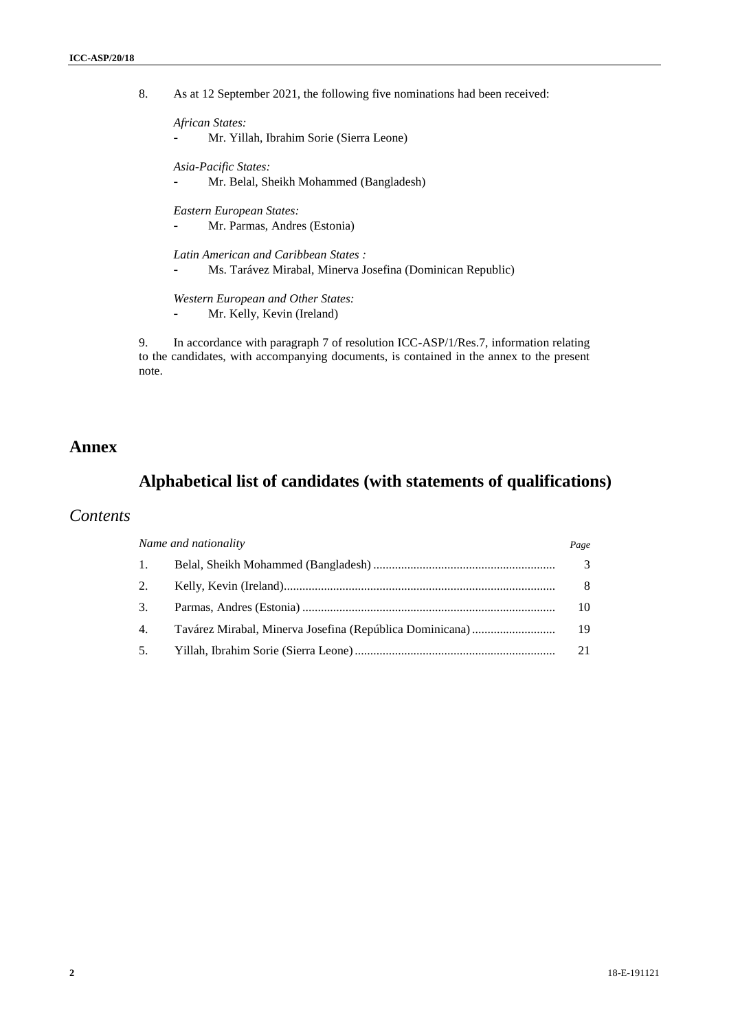8. As at 12 September 2021, the following five nominations had been received:

*African States:*

- Mr. Yillah, Ibrahim Sorie (Sierra Leone)

*Asia-Pacific States:*

- Mr. Belal, Sheikh Mohammed (Bangladesh)

*Eastern European States:*

Mr. Parmas, Andres (Estonia)

*Latin American and Caribbean States :*

- Ms. Tarávez Mirabal, Minerva Josefina (Dominican Republic)

*Western European and Other States:*

Mr. Kelly, Kevin (Ireland)

9. In accordance with paragraph 7 of resolution ICC-ASP/1/Res.7, information relating to the candidates, with accompanying documents, is contained in the annex to the present note.

# **Annex**

# **Alphabetical list of candidates (with statements of qualifications)**

# *Contents*

| Name and nationality |  | Page          |
|----------------------|--|---------------|
| $\overline{1}$ .     |  | $\mathcal{R}$ |
| 2.                   |  | 8             |
| 3.                   |  | 10            |
| 4.                   |  | 19            |
| 5.                   |  |               |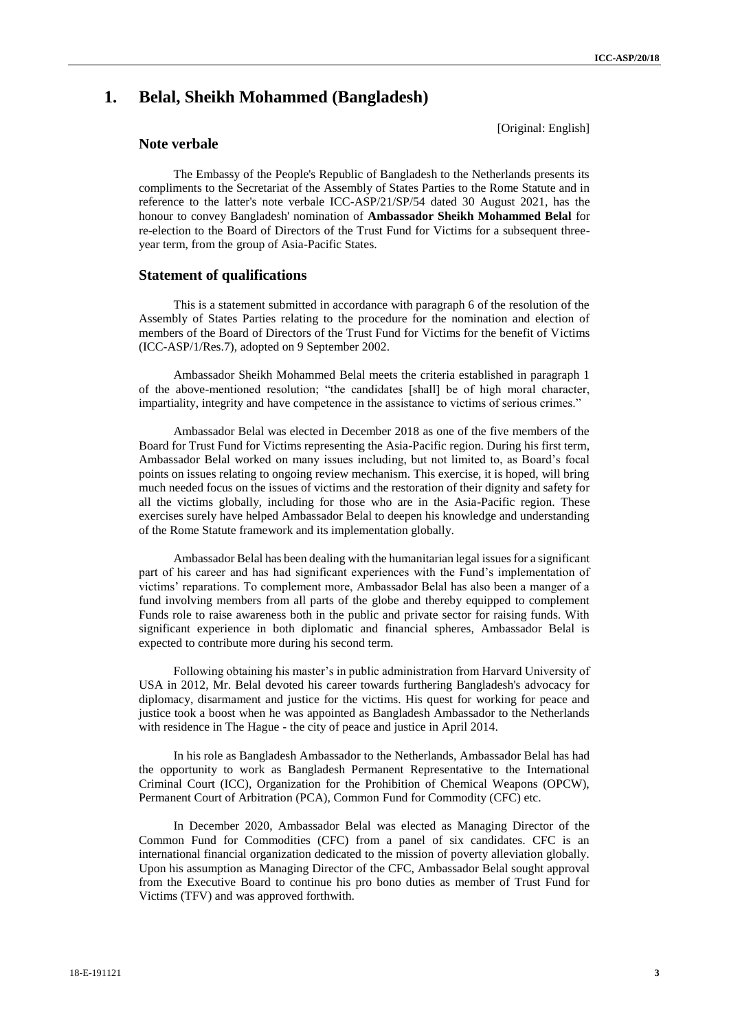# **1. Belal, Sheikh Mohammed (Bangladesh)**

## **Note verbale**

[Original: English]

The Embassy of the People's Republic of Bangladesh to the Netherlands presents its compliments to the Secretariat of the Assembly of States Parties to the Rome Statute and in reference to the latter's note verbale ICC-ASP/21/SP/54 dated 30 August 2021, has the honour to convey Bangladesh' nomination of **Ambassador Sheikh Mohammed Belal** for re-election to the Board of Directors of the Trust Fund for Victims for a subsequent threeyear term, from the group of Asia-Pacific States.

## **Statement of qualifications**

This is a statement submitted in accordance with paragraph 6 of the resolution of the Assembly of States Parties relating to the procedure for the nomination and election of members of the Board of Directors of the Trust Fund for Victims for the benefit of Victims (ICC-ASP/1/Res.7), adopted on 9 September 2002.

Ambassador Sheikh Mohammed Belal meets the criteria established in paragraph 1 of the above-mentioned resolution; "the candidates [shall] be of high moral character, impartiality, integrity and have competence in the assistance to victims of serious crimes."

Ambassador Belal was elected in December 2018 as one of the five members of the Board for Trust Fund for Victims representing the Asia-Pacific region. During his first term, Ambassador Belal worked on many issues including, but not limited to, as Board's focal points on issues relating to ongoing review mechanism. This exercise, it is hoped, will bring much needed focus on the issues of victims and the restoration of their dignity and safety for all the victims globally, including for those who are in the Asia-Pacific region. These exercises surely have helped Ambassador Belal to deepen his knowledge and understanding of the Rome Statute framework and its implementation globally.

Ambassador Belal has been dealing with the humanitarian legal issues for a significant part of his career and has had significant experiences with the Fund's implementation of victims' reparations. To complement more, Ambassador Belal has also been a manger of a fund involving members from all parts of the globe and thereby equipped to complement Funds role to raise awareness both in the public and private sector for raising funds. With significant experience in both diplomatic and financial spheres, Ambassador Belal is expected to contribute more during his second term.

Following obtaining his master's in public administration from Harvard University of USA in 2012, Mr. Belal devoted his career towards furthering Bangladesh's advocacy for diplomacy, disarmament and justice for the victims. His quest for working for peace and justice took a boost when he was appointed as Bangladesh Ambassador to the Netherlands with residence in The Hague - the city of peace and justice in April 2014.

In his role as Bangladesh Ambassador to the Netherlands, Ambassador Belal has had the opportunity to work as Bangladesh Permanent Representative to the International Criminal Court (ICC), Organization for the Prohibition of Chemical Weapons (OPCW), Permanent Court of Arbitration (PCA), Common Fund for Commodity (CFC) etc.

In December 2020, Ambassador Belal was elected as Managing Director of the Common Fund for Commodities (CFC) from a panel of six candidates. CFC is an international financial organization dedicated to the mission of poverty alleviation globally. Upon his assumption as Managing Director of the CFC, Ambassador Belal sought approval from the Executive Board to continue his pro bono duties as member of Trust Fund for Victims (TFV) and was approved forthwith.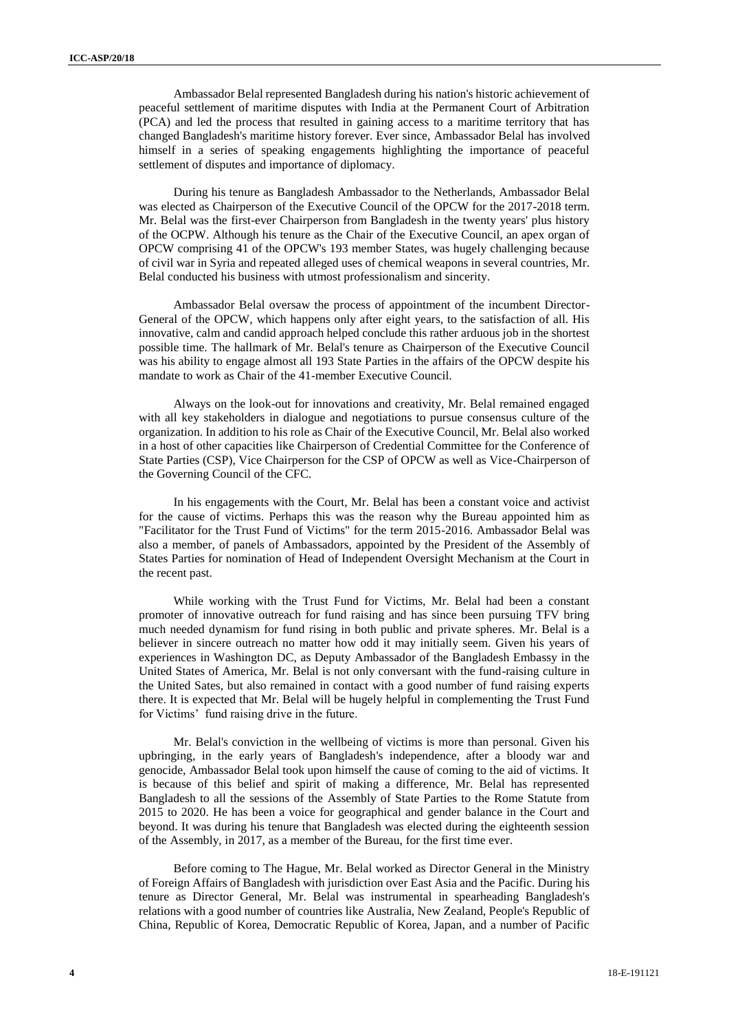Ambassador Belal represented Bangladesh during his nation's historic achievement of peaceful settlement of maritime disputes with India at the Permanent Court of Arbitration (PCA) and led the process that resulted in gaining access to a maritime territory that has changed Bangladesh's maritime history forever. Ever since, Ambassador Belal has involved himself in a series of speaking engagements highlighting the importance of peaceful settlement of disputes and importance of diplomacy.

During his tenure as Bangladesh Ambassador to the Netherlands, Ambassador Belal was elected as Chairperson of the Executive Council of the OPCW for the 2017-2018 term. Mr. Belal was the first-ever Chairperson from Bangladesh in the twenty years' plus history of the OCPW. Although his tenure as the Chair of the Executive Council, an apex organ of OPCW comprising 41 of the OPCW's 193 member States, was hugely challenging because of civil war in Syria and repeated alleged uses of chemical weapons in several countries, Mr. Belal conducted his business with utmost professionalism and sincerity.

Ambassador Belal oversaw the process of appointment of the incumbent Director-General of the OPCW, which happens only after eight years, to the satisfaction of all. His innovative, calm and candid approach helped conclude this rather arduous job in the shortest possible time. The hallmark of Mr. Belal's tenure as Chairperson of the Executive Council was his ability to engage almost all 193 State Parties in the affairs of the OPCW despite his mandate to work as Chair of the 41-member Executive Council.

Always on the look-out for innovations and creativity, Mr. Belal remained engaged with all key stakeholders in dialogue and negotiations to pursue consensus culture of the organization. In addition to his role as Chair of the Executive Council, Mr. Belal also worked in a host of other capacities like Chairperson of Credential Committee for the Conference of State Parties (CSP), Vice Chairperson for the CSP of OPCW as well as Vice-Chairperson of the Governing Council of the CFC.

In his engagements with the Court, Mr. Belal has been a constant voice and activist for the cause of victims. Perhaps this was the reason why the Bureau appointed him as "Facilitator for the Trust Fund of Victims" for the term 2015-2016. Ambassador Belal was also a member, of panels of Ambassadors, appointed by the President of the Assembly of States Parties for nomination of Head of Independent Oversight Mechanism at the Court in the recent past.

While working with the Trust Fund for Victims, Mr. Belal had been a constant promoter of innovative outreach for fund raising and has since been pursuing TFV bring much needed dynamism for fund rising in both public and private spheres. Mr. Belal is a believer in sincere outreach no matter how odd it may initially seem. Given his years of experiences in Washington DC, as Deputy Ambassador of the Bangladesh Embassy in the United States of America, Mr. Belal is not only conversant with the fund-raising culture in the United Sates, but also remained in contact with a good number of fund raising experts there. It is expected that Mr. Belal will be hugely helpful in complementing the Trust Fund for Victims' fund raising drive in the future.

Mr. Belal's conviction in the wellbeing of victims is more than personal. Given his upbringing, in the early years of Bangladesh's independence, after a bloody war and genocide, Ambassador Belal took upon himself the cause of coming to the aid of victims. It is because of this belief and spirit of making a difference, Mr. Belal has represented Bangladesh to all the sessions of the Assembly of State Parties to the Rome Statute from 2015 to 2020. He has been a voice for geographical and gender balance in the Court and beyond. It was during his tenure that Bangladesh was elected during the eighteenth session of the Assembly, in 2017, as a member of the Bureau, for the first time ever.

Before coming to The Hague, Mr. Belal worked as Director General in the Ministry of Foreign Affairs of Bangladesh with jurisdiction over East Asia and the Pacific. During his tenure as Director General, Mr. Belal was instrumental in spearheading Bangladesh's relations with a good number of countries like Australia, New Zealand, People's Republic of China, Republic of Korea, Democratic Republic of Korea, Japan, and a number of Pacific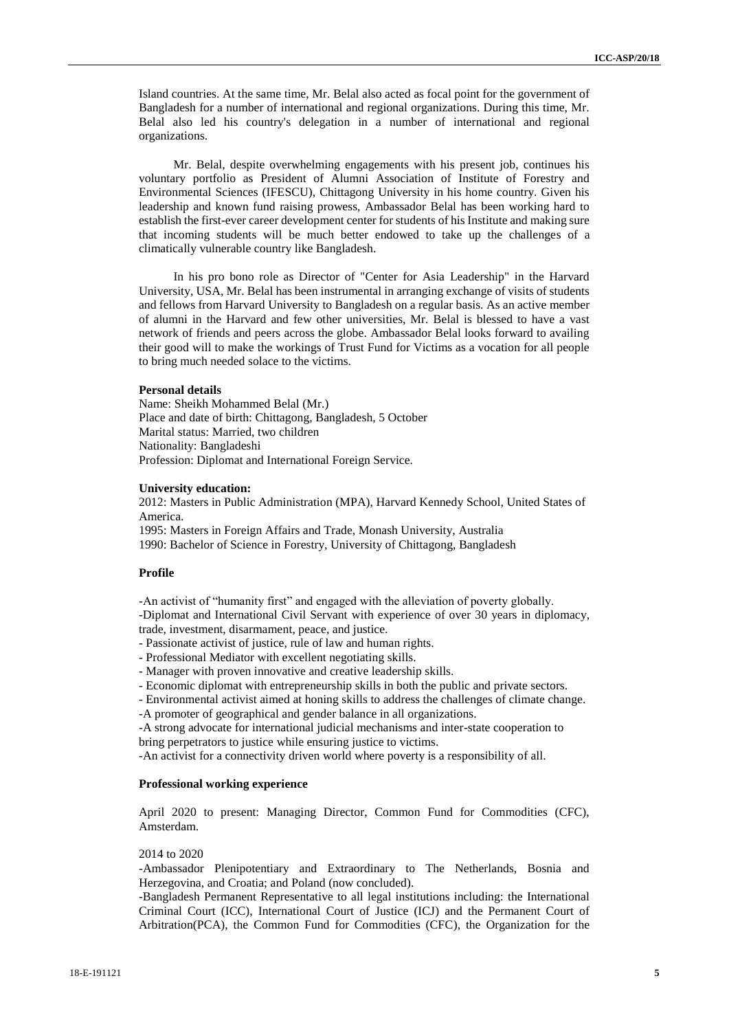Island countries. At the same time, Mr. Belal also acted as focal point for the government of Bangladesh for a number of international and regional organizations. During this time, Mr. Belal also led his country's delegation in a number of international and regional organizations.

Mr. Belal, despite overwhelming engagements with his present job, continues his voluntary portfolio as President of Alumni Association of Institute of Forestry and Environmental Sciences (IFESCU), Chittagong University in his home country. Given his leadership and known fund raising prowess, Ambassador Belal has been working hard to establish the first-ever career development center for students of his Institute and making sure that incoming students will be much better endowed to take up the challenges of a climatically vulnerable country like Bangladesh.

In his pro bono role as Director of "Center for Asia Leadership" in the Harvard University, USA, Mr. Belal has been instrumental in arranging exchange of visits of students and fellows from Harvard University to Bangladesh on a regular basis. As an active member of alumni in the Harvard and few other universities, Mr. Belal is blessed to have a vast network of friends and peers across the globe. Ambassador Belal looks forward to availing their good will to make the workings of Trust Fund for Victims as a vocation for all people to bring much needed solace to the victims.

## **Personal details**

Name: Sheikh Mohammed Belal (Mr.) Place and date of birth: Chittagong, Bangladesh, 5 October Marital status: Married, two children Nationality: Bangladeshi Profession: Diplomat and International Foreign Service.

### **University education:**

2012: Masters in Public Administration (MPA), Harvard Kennedy School, United States of America.

1995: Masters in Foreign Affairs and Trade, Monash University, Australia 1990: Bachelor of Science in Forestry, University of Chittagong, Bangladesh

#### **Profile**

-An activist of "humanity first" and engaged with the alleviation of poverty globally. -Diplomat and International Civil Servant with experience of over 30 years in diplomacy,

trade, investment, disarmament, peace, and justice.

- Passionate activist of justice, rule of law and human rights.
- Professional Mediator with excellent negotiating skills.
- Manager with proven innovative and creative leadership skills.
- Economic diplomat with entrepreneurship skills in both the public and private sectors.
- Environmental activist aimed at honing skills to address the challenges of climate change.
- -A promoter of geographical and gender balance in all organizations.

-A strong advocate for international judicial mechanisms and inter-state cooperation to bring perpetrators to justice while ensuring justice to victims.

-An activist for a connectivity driven world where poverty is a responsibility of all.

#### **Professional working experience**

April 2020 to present: Managing Director, Common Fund for Commodities (CFC), Amsterdam.

### 2014 to 2020

-Ambassador Plenipotentiary and Extraordinary to The Netherlands, Bosnia and Herzegovina, and Croatia; and Poland (now concluded).

-Bangladesh Permanent Representative to all legal institutions including: the International Criminal Court (ICC), International Court of Justice (ICJ) and the Permanent Court of Arbitration(PCA), the Common Fund for Commodities (CFC), the Organization for the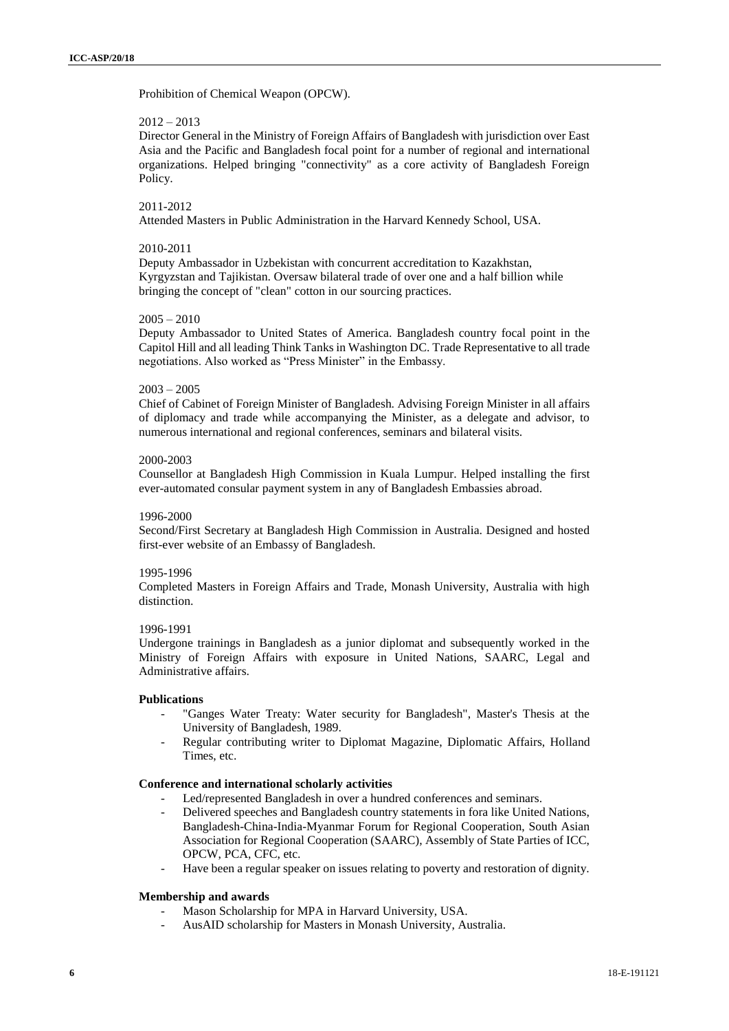Prohibition of Chemical Weapon (OPCW).

## $2012 - 2013$

Director General in the Ministry of Foreign Affairs of Bangladesh with jurisdiction over East Asia and the Pacific and Bangladesh focal point for a number of regional and international organizations. Helped bringing "connectivity" as a core activity of Bangladesh Foreign Policy.

#### 2011-2012

Attended Masters in Public Administration in the Harvard Kennedy School, USA.

#### 2010-2011

Deputy Ambassador in Uzbekistan with concurrent accreditation to Kazakhstan, Kyrgyzstan and Tajikistan. Oversaw bilateral trade of over one and a half billion while bringing the concept of "clean" cotton in our sourcing practices.

#### $2005 - 2010$

Deputy Ambassador to United States of America. Bangladesh country focal point in the Capitol Hill and all leading Think Tanks in Washington DC. Trade Representative to all trade negotiations. Also worked as "Press Minister" in the Embassy.

## $2003 - 2005$

Chief of Cabinet of Foreign Minister of Bangladesh. Advising Foreign Minister in all affairs of diplomacy and trade while accompanying the Minister, as a delegate and advisor, to numerous international and regional conferences, seminars and bilateral visits.

## 2000-2003

Counsellor at Bangladesh High Commission in Kuala Lumpur. Helped installing the first ever-automated consular payment system in any of Bangladesh Embassies abroad.

## 1996-2000

Second/First Secretary at Bangladesh High Commission in Australia. Designed and hosted first-ever website of an Embassy of Bangladesh.

#### 1995-1996

Completed Masters in Foreign Affairs and Trade, Monash University, Australia with high distinction.

#### 1996-1991

Undergone trainings in Bangladesh as a junior diplomat and subsequently worked in the Ministry of Foreign Affairs with exposure in United Nations, SAARC, Legal and Administrative affairs.

#### **Publications**

- "Ganges Water Treaty: Water security for Bangladesh", Master's Thesis at the University of Bangladesh, 1989.
- Regular contributing writer to Diplomat Magazine, Diplomatic Affairs, Holland Times, etc.

## **Conference and international scholarly activities**

- Led/represented Bangladesh in over a hundred conferences and seminars.
- Delivered speeches and Bangladesh country statements in fora like United Nations, Bangladesh-China-India-Myanmar Forum for Regional Cooperation, South Asian Association for Regional Cooperation (SAARC), Assembly of State Parties of ICC, OPCW, PCA, CFC, etc.
- Have been a regular speaker on issues relating to poverty and restoration of dignity.

## **Membership and awards**

- Mason Scholarship for MPA in Harvard University, USA.
- AusAID scholarship for Masters in Monash University, Australia.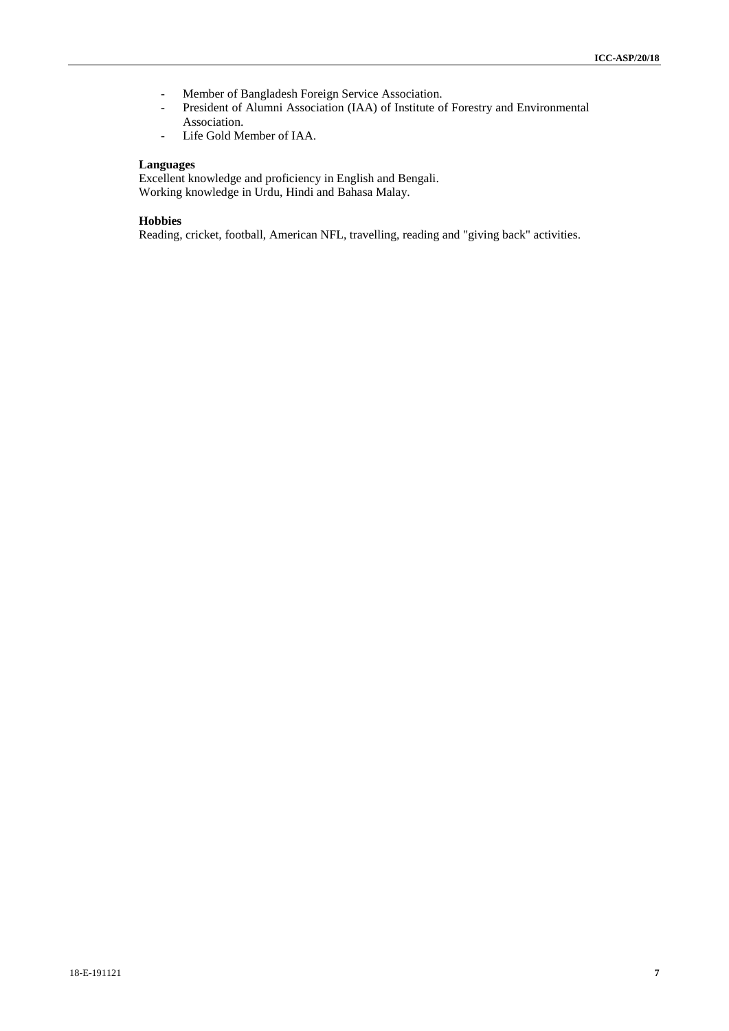- Member of Bangladesh Foreign Service Association.
- President of Alumni Association (IAA) of Institute of Forestry and Environmental Association.
- Life Gold Member of IAA.

#### **Languages**

Excellent knowledge and proficiency in English and Bengali. Working knowledge in Urdu, Hindi and Bahasa Malay.

## **Hobbies**

Reading, cricket, football, American NFL, travelling, reading and "giving back" activities.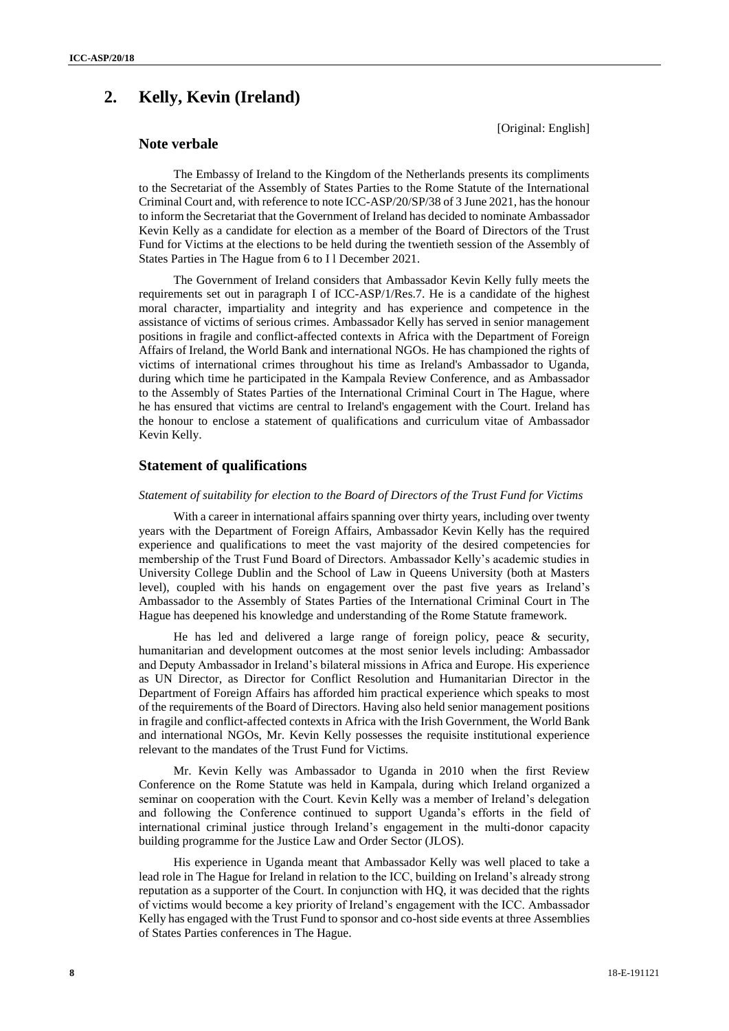# **2. Kelly, Kevin (Ireland)**

[Original: English]

# **Note verbale**

The Embassy of Ireland to the Kingdom of the Netherlands presents its compliments to the Secretariat of the Assembly of States Parties to the Rome Statute of the International Criminal Court and, with reference to note ICC-ASP/20/SP/38 of 3 June 2021, has the honour to inform the Secretariat that the Government of Ireland has decided to nominate Ambassador Kevin Kelly as a candidate for election as a member of the Board of Directors of the Trust Fund for Victims at the elections to be held during the twentieth session of the Assembly of States Parties in The Hague from 6 to I l December 2021.

The Government of Ireland considers that Ambassador Kevin Kelly fully meets the requirements set out in paragraph I of ICC-ASP/1/Res.7. He is a candidate of the highest moral character, impartiality and integrity and has experience and competence in the assistance of victims of serious crimes. Ambassador Kelly has served in senior management positions in fragile and conflict-affected contexts in Africa with the Department of Foreign Affairs of Ireland, the World Bank and international NGOs. He has championed the rights of victims of international crimes throughout his time as Ireland's Ambassador to Uganda, during which time he participated in the Kampala Review Conference, and as Ambassador to the Assembly of States Parties of the International Criminal Court in The Hague, where he has ensured that victims are central to Ireland's engagement with the Court. Ireland has the honour to enclose a statement of qualifications and curriculum vitae of Ambassador Kevin Kelly.

## **Statement of qualifications**

#### *Statement of suitability for election to the Board of Directors of the Trust Fund for Victims*

With a career in international affairs spanning over thirty years, including over twenty years with the Department of Foreign Affairs, Ambassador Kevin Kelly has the required experience and qualifications to meet the vast majority of the desired competencies for membership of the Trust Fund Board of Directors. Ambassador Kelly's academic studies in University College Dublin and the School of Law in Queens University (both at Masters level), coupled with his hands on engagement over the past five years as Ireland's Ambassador to the Assembly of States Parties of the International Criminal Court in The Hague has deepened his knowledge and understanding of the Rome Statute framework.

He has led and delivered a large range of foreign policy, peace & security, humanitarian and development outcomes at the most senior levels including: Ambassador and Deputy Ambassador in Ireland's bilateral missions in Africa and Europe. His experience as UN Director, as Director for Conflict Resolution and Humanitarian Director in the Department of Foreign Affairs has afforded him practical experience which speaks to most of the requirements of the Board of Directors. Having also held senior management positions in fragile and conflict-affected contexts in Africa with the Irish Government, the World Bank and international NGOs, Mr. Kevin Kelly possesses the requisite institutional experience relevant to the mandates of the Trust Fund for Victims.

Mr. Kevin Kelly was Ambassador to Uganda in 2010 when the first Review Conference on the Rome Statute was held in Kampala, during which Ireland organized a seminar on cooperation with the Court. Kevin Kelly was a member of Ireland's delegation and following the Conference continued to support Uganda's efforts in the field of international criminal justice through Ireland's engagement in the multi-donor capacity building programme for the Justice Law and Order Sector (JLOS).

His experience in Uganda meant that Ambassador Kelly was well placed to take a lead role in The Hague for Ireland in relation to the ICC, building on Ireland's already strong reputation as a supporter of the Court. In conjunction with HQ, it was decided that the rights of victims would become a key priority of Ireland's engagement with the ICC. Ambassador Kelly has engaged with the Trust Fund to sponsor and co-host side events at three Assemblies of States Parties conferences in The Hague.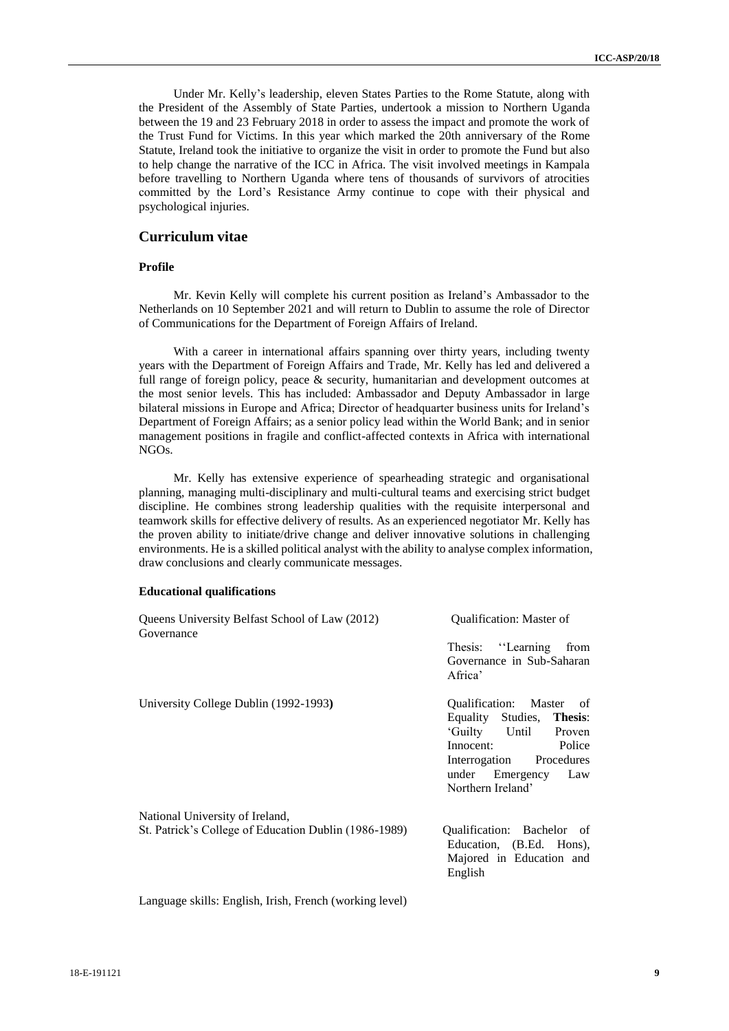Under Mr. Kelly's leadership, eleven States Parties to the Rome Statute, along with the President of the Assembly of State Parties, undertook a mission to Northern Uganda between the 19 and 23 February 2018 in order to assess the impact and promote the work of the Trust Fund for Victims. In this year which marked the 20th anniversary of the Rome Statute, Ireland took the initiative to organize the visit in order to promote the Fund but also to help change the narrative of the ICC in Africa. The visit involved meetings in Kampala before travelling to Northern Uganda where tens of thousands of survivors of atrocities committed by the Lord's Resistance Army continue to cope with their physical and psychological injuries.

## **Curriculum vitae**

#### **Profile**

Mr. Kevin Kelly will complete his current position as Ireland's Ambassador to the Netherlands on 10 September 2021 and will return to Dublin to assume the role of Director of Communications for the Department of Foreign Affairs of Ireland.

With a career in international affairs spanning over thirty years, including twenty years with the Department of Foreign Affairs and Trade, Mr. Kelly has led and delivered a full range of foreign policy, peace & security, humanitarian and development outcomes at the most senior levels. This has included: Ambassador and Deputy Ambassador in large bilateral missions in Europe and Africa; Director of headquarter business units for Ireland's Department of Foreign Affairs; as a senior policy lead within the World Bank; and in senior management positions in fragile and conflict-affected contexts in Africa with international NGOs.

Mr. Kelly has extensive experience of spearheading strategic and organisational planning, managing multi-disciplinary and multi-cultural teams and exercising strict budget discipline. He combines strong leadership qualities with the requisite interpersonal and teamwork skills for effective delivery of results. As an experienced negotiator Mr. Kelly has the proven ability to initiate/drive change and deliver innovative solutions in challenging environments. He is a skilled political analyst with the ability to analyse complex information, draw conclusions and clearly communicate messages.

#### **Educational qualifications**

| Queens University Belfast School of Law (2012)<br>Governance | <b>Oualification: Master of</b>                                                               |  |
|--------------------------------------------------------------|-----------------------------------------------------------------------------------------------|--|
|                                                              | Thesis: "Learning<br>from<br>Governance in Sub-Saharan<br>Africa'                             |  |
| University College Dublin (1992-1993)                        | Qualification: Master of                                                                      |  |
|                                                              | Equality Studies, Thesis:                                                                     |  |
|                                                              | 'Guilty Until Proven                                                                          |  |
|                                                              | Innocent:<br>Police                                                                           |  |
|                                                              | Interrogation Procedures                                                                      |  |
|                                                              | under Emergency Law                                                                           |  |
|                                                              | Northern Ireland'                                                                             |  |
| National University of Ireland,                              |                                                                                               |  |
| St. Patrick's College of Education Dublin (1986-1989)        | Qualification: Bachelor of<br>Education, (B.Ed. Hons),<br>Majored in Education and<br>English |  |

Language skills: English, Irish, French (working level)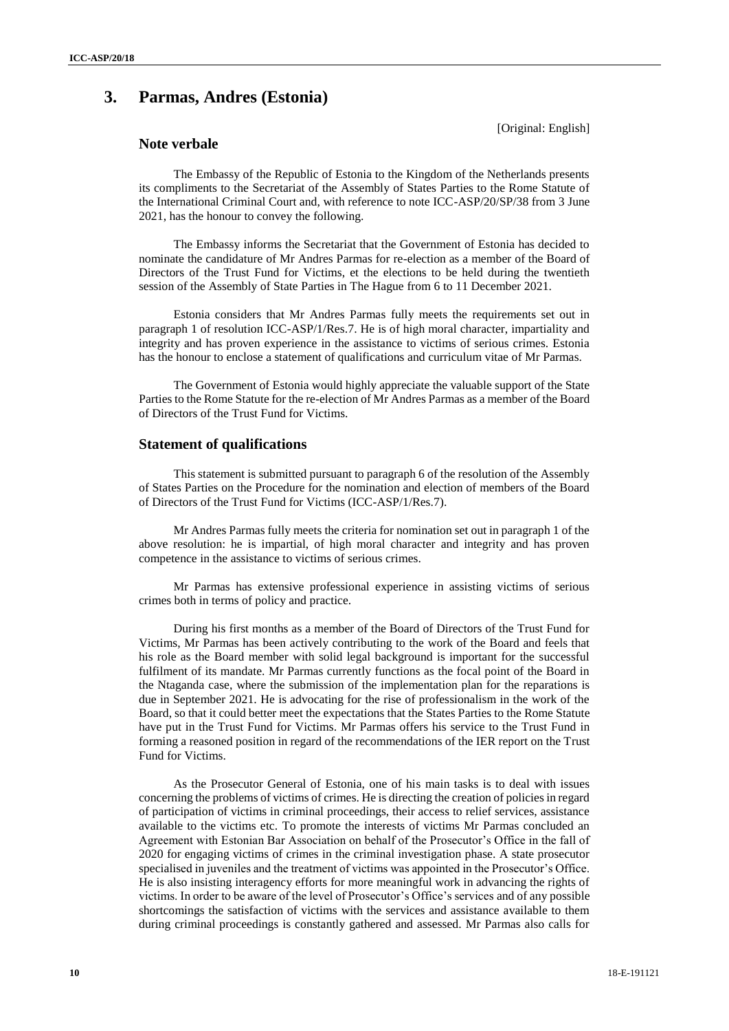# **3. Parmas, Andres (Estonia)**

[Original: English]

# **Note verbale**

The Embassy of the Republic of Estonia to the Kingdom of the Netherlands presents its compliments to the Secretariat of the Assembly of States Parties to the Rome Statute of the International Criminal Court and, with reference to note ICC-ASP/20/SP/38 from 3 June 2021, has the honour to convey the following.

The Embassy informs the Secretariat that the Government of Estonia has decided to nominate the candidature of Mr Andres Parmas for re-election as a member of the Board of Directors of the Trust Fund for Victims, et the elections to be held during the twentieth session of the Assembly of State Parties in The Hague from 6 to 11 December 2021.

Estonia considers that Mr Andres Parmas fully meets the requirements set out in paragraph 1 of resolution ICC-ASP/1/Res.7. He is of high moral character, impartiality and integrity and has proven experience in the assistance to victims of serious crimes. Estonia has the honour to enclose a statement of qualifications and curriculum vitae of Mr Parmas.

The Government of Estonia would highly appreciate the valuable support of the State Parties to the Rome Statute for the re-election of Mr Andres Parmas as a member of the Board of Directors of the Trust Fund for Victims.

## **Statement of qualifications**

This statement is submitted pursuant to paragraph 6 of the resolution of the Assembly of States Parties on the Procedure for the nomination and election of members of the Board of Directors of the Trust Fund for Victims (ICC-ASP/1/Res.7).

Mr Andres Parmas fully meets the criteria for nomination set out in paragraph 1 of the above resolution: he is impartial, of high moral character and integrity and has proven competence in the assistance to victims of serious crimes.

Mr Parmas has extensive professional experience in assisting victims of serious crimes both in terms of policy and practice.

During his first months as a member of the Board of Directors of the Trust Fund for Victims, Mr Parmas has been actively contributing to the work of the Board and feels that his role as the Board member with solid legal background is important for the successful fulfilment of its mandate. Mr Parmas currently functions as the focal point of the Board in the Ntaganda case, where the submission of the implementation plan for the reparations is due in September 2021. He is advocating for the rise of professionalism in the work of the Board, so that it could better meet the expectations that the States Parties to the Rome Statute have put in the Trust Fund for Victims. Mr Parmas offers his service to the Trust Fund in forming a reasoned position in regard of the recommendations of the IER report on the Trust Fund for Victims.

As the Prosecutor General of Estonia, one of his main tasks is to deal with issues concerning the problems of victims of crimes. He is directing the creation of policies in regard of participation of victims in criminal proceedings, their access to relief services, assistance available to the victims etc. To promote the interests of victims Mr Parmas concluded an Agreement with Estonian Bar Association on behalf of the Prosecutor's Office in the fall of 2020 for engaging victims of crimes in the criminal investigation phase. A state prosecutor specialised in juveniles and the treatment of victims was appointed in the Prosecutor's Office. He is also insisting interagency efforts for more meaningful work in advancing the rights of victims. In order to be aware of the level of Prosecutor's Office's services and of any possible shortcomings the satisfaction of victims with the services and assistance available to them during criminal proceedings is constantly gathered and assessed. Mr Parmas also calls for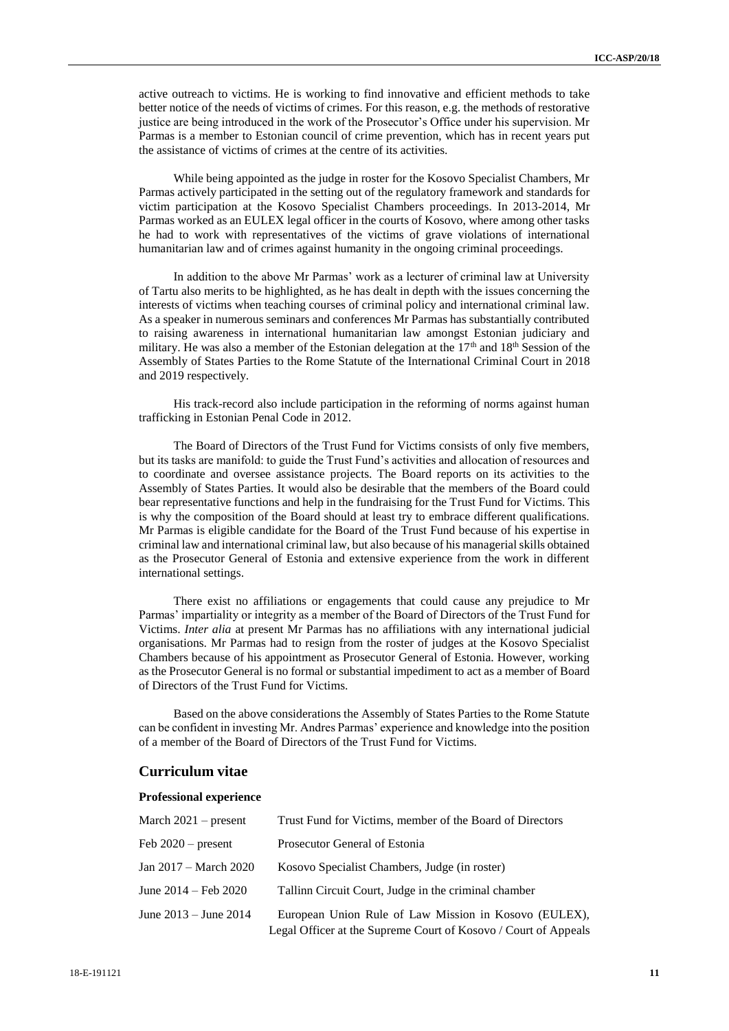active outreach to victims. He is working to find innovative and efficient methods to take better notice of the needs of victims of crimes. For this reason, e.g*.* the methods of restorative justice are being introduced in the work of the Prosecutor's Office under his supervision. Mr Parmas is a member to Estonian council of crime prevention, which has in recent years put the assistance of victims of crimes at the centre of its activities.

While being appointed as the judge in roster for the Kosovo Specialist Chambers, Mr Parmas actively participated in the setting out of the regulatory framework and standards for victim participation at the Kosovo Specialist Chambers proceedings. In 2013-2014, Mr Parmas worked as an EULEX legal officer in the courts of Kosovo, where among other tasks he had to work with representatives of the victims of grave violations of international humanitarian law and of crimes against humanity in the ongoing criminal proceedings.

In addition to the above Mr Parmas' work as a lecturer of criminal law at University of Tartu also merits to be highlighted, as he has dealt in depth with the issues concerning the interests of victims when teaching courses of criminal policy and international criminal law. As a speaker in numerous seminars and conferences Mr Parmas has substantially contributed to raising awareness in international humanitarian law amongst Estonian judiciary and military. He was also a member of the Estonian delegation at the  $17<sup>th</sup>$  and  $18<sup>th</sup>$  Session of the Assembly of States Parties to the Rome Statute of the International Criminal Court in 2018 and 2019 respectively.

His track-record also include participation in the reforming of norms against human trafficking in Estonian Penal Code in 2012.

The Board of Directors of the Trust Fund for Victims consists of only five members, but its tasks are manifold: to guide the Trust Fund's activities and allocation of resources and to coordinate and oversee assistance projects. The Board reports on its activities to the Assembly of States Parties. It would also be desirable that the members of the Board could bear representative functions and help in the fundraising for the Trust Fund for Victims. This is why the composition of the Board should at least try to embrace different qualifications. Mr Parmas is eligible candidate for the Board of the Trust Fund because of his expertise in criminal law and international criminal law, but also because of his managerial skills obtained as the Prosecutor General of Estonia and extensive experience from the work in different international settings.

There exist no affiliations or engagements that could cause any prejudice to Mr Parmas' impartiality or integrity as a member of the Board of Directors of the Trust Fund for Victims. *Inter alia* at present Mr Parmas has no affiliations with any international judicial organisations. Mr Parmas had to resign from the roster of judges at the Kosovo Specialist Chambers because of his appointment as Prosecutor General of Estonia. However, working as the Prosecutor General is no formal or substantial impediment to act as a member of Board of Directors of the Trust Fund for Victims.

Based on the above considerations the Assembly of States Parties to the Rome Statute can be confident in investing Mr. Andres Parmas' experience and knowledge into the position of a member of the Board of Directors of the Trust Fund for Victims.

## **Curriculum vitae**

#### **Professional experience**

| March $2021$ – present    | Trust Fund for Victims, member of the Board of Directors        |
|---------------------------|-----------------------------------------------------------------|
| Feb $2020$ – present      | Prosecutor General of Estonia                                   |
| Jan 2017 – March 2020     | Kosovo Specialist Chambers, Judge (in roster)                   |
| June 2014 – Feb 2020      | Tallinn Circuit Court, Judge in the criminal chamber            |
| June $2013 -$ June $2014$ | European Union Rule of Law Mission in Kosovo (EULEX),           |
|                           | Legal Officer at the Supreme Court of Kosovo / Court of Appeals |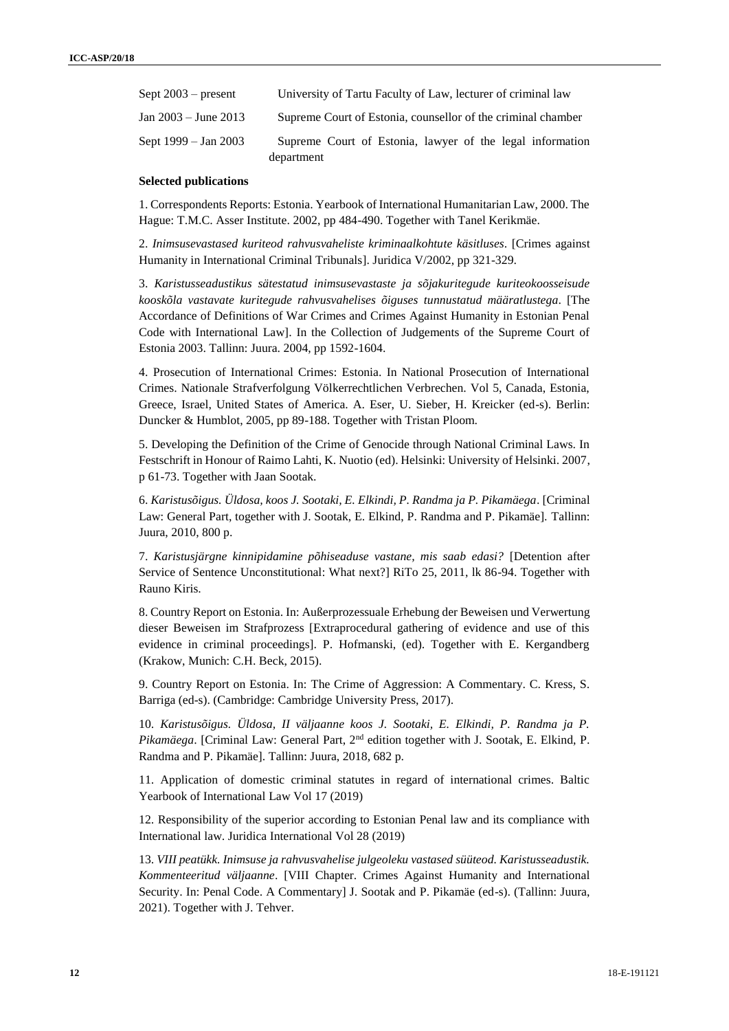| Sept $2003$ – present    | University of Tartu Faculty of Law, lecturer of criminal law |
|--------------------------|--------------------------------------------------------------|
| $Jan\ 2003 - June\ 2013$ | Supreme Court of Estonia, counsellor of the criminal chamber |
| Sept 1999 – Jan 2003     | Supreme Court of Estonia, lawyer of the legal information    |
|                          | department                                                   |

#### **Selected publications**

1. Correspondents Reports: Estonia. Yearbook of International Humanitarian Law, 2000. The Hague: T.M.C. Asser Institute. 2002, pp 484-490. Together with Tanel Kerikmäe.

2. *Inimsusevastased kuriteod rahvusvaheliste kriminaalkohtute käsitluses*. [Crimes against Humanity in International Criminal Tribunals]. Juridica V/2002, pp 321-329.

3. *Karistusseadustikus sätestatud inimsusevastaste ja sõjakuritegude kuriteokoosseisude kooskõla vastavate kuritegude rahvusvahelises õiguses tunnustatud määratlustega*. [The Accordance of Definitions of War Crimes and Crimes Against Humanity in Estonian Penal Code with International Law]. In the Collection of Judgements of the Supreme Court of Estonia 2003. Tallinn: Juura. 2004, pp 1592-1604.

4. Prosecution of International Crimes: Estonia. In National Prosecution of International Crimes. Nationale Strafverfolgung Völkerrechtlichen Verbrechen. Vol 5, Canada, Estonia, Greece, Israel, United States of America. A. Eser, U. Sieber, H. Kreicker (ed-s). Berlin: Duncker & Humblot, 2005, pp 89-188. Together with Tristan Ploom.

5. Developing the Definition of the Crime of Genocide through National Criminal Laws. In Festschrift in Honour of Raimo Lahti, K. Nuotio (ed). Helsinki: University of Helsinki. 2007, p 61-73. Together with Jaan Sootak.

6. *Karistusõigus. Üldosa, koos J. Sootaki, E. Elkindi, P. Randma ja P. Pikamäega*. [Criminal Law: General Part, together with J. Sootak, E. Elkind, P. Randma and P. Pikamäe]. Tallinn: Juura, 2010, 800 p.

7. *Karistusjärgne kinnipidamine põhiseaduse vastane, mis saab edasi?* [Detention after Service of Sentence Unconstitutional: What next?] RiTo 25, 2011, lk 86-94. Together with Rauno Kiris.

8. Country Report on Estonia. In: Außerprozessuale Erhebung der Beweisen und Verwertung dieser Beweisen im Strafprozess [Extraprocedural gathering of evidence and use of this evidence in criminal proceedings]. P. Hofmanski, (ed). Together with E. Kergandberg (Krakow, Munich: C.H. Beck, 2015).

9. Country Report on Estonia. In: The Crime of Aggression: A Commentary. C. Kress, S. Barriga (ed-s). (Cambridge: Cambridge University Press, 2017).

10. *Karistusõigus. Üldosa, II väljaanne koos J. Sootaki, E. Elkindi, P. Randma ja P. Pikamäega*. [Criminal Law: General Part, 2nd edition together with J. Sootak, E. Elkind, P. Randma and P. Pikamäe]. Tallinn: Juura, 2018, 682 p.

11. Application of domestic criminal statutes in regard of international crimes. Baltic Yearbook of International Law Vol 17 (2019)

12. Responsibility of the superior according to Estonian Penal law and its compliance with International law. Juridica International Vol 28 (2019)

13. *VIII peatükk. Inimsuse ja rahvusvahelise julgeoleku vastased süüteod. Karistusseadustik. Kommenteeritud väljaanne*. [VIII Chapter. Crimes Against Humanity and International Security. In: Penal Code. A Commentary] J. Sootak and P. Pikamäe (ed-s). (Tallinn: Juura, 2021). Together with J. Tehver.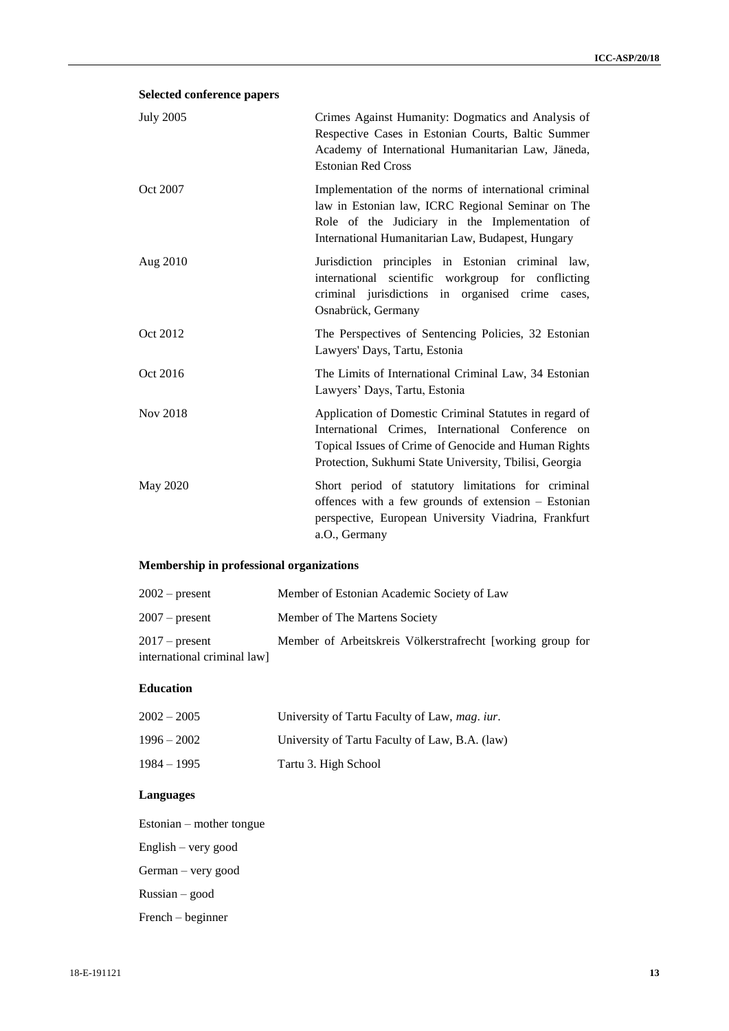# **Selected conference papers**

| <b>July 2005</b> | Crimes Against Humanity: Dogmatics and Analysis of<br>Respective Cases in Estonian Courts, Baltic Summer<br>Academy of International Humanitarian Law, Jäneda,<br><b>Estonian Red Cross</b>                                   |
|------------------|-------------------------------------------------------------------------------------------------------------------------------------------------------------------------------------------------------------------------------|
| Oct 2007         | Implementation of the norms of international criminal<br>law in Estonian law, ICRC Regional Seminar on The<br>Role of the Judiciary in the Implementation of<br>International Humanitarian Law, Budapest, Hungary             |
| Aug 2010         | Jurisdiction principles in Estonian criminal law,<br>international scientific workgroup for conflicting<br>criminal jurisdictions in organised crime<br>cases,<br>Osnabrück, Germany                                          |
| Oct 2012         | The Perspectives of Sentencing Policies, 32 Estonian<br>Lawyers' Days, Tartu, Estonia                                                                                                                                         |
| Oct 2016         | The Limits of International Criminal Law, 34 Estonian<br>Lawyers' Days, Tartu, Estonia                                                                                                                                        |
| Nov 2018         | Application of Domestic Criminal Statutes in regard of<br>International Crimes, International Conference on<br>Topical Issues of Crime of Genocide and Human Rights<br>Protection, Sukhumi State University, Tbilisi, Georgia |
| May 2020         | Short period of statutory limitations for criminal<br>offences with a few grounds of extension – Estonian<br>perspective, European University Viadrina, Frankfurt<br>a.O., Germany                                            |

# **Membership in professional organizations**

| $2002$ – present           | Member of Estonian Academic Society of Law                 |
|----------------------------|------------------------------------------------------------|
| $2007$ – present           | Member of The Martens Society                              |
| $2017$ – present           | Member of Arbeitskreis Völkerstrafrecht [working group for |
| international criminal law |                                                            |

## **Education**

| $2002 - 2005$ | University of Tartu Faculty of Law, <i>mag. iur.</i> |
|---------------|------------------------------------------------------|
| $1996 - 2002$ | University of Tartu Faculty of Law, B.A. (law)       |
| $1984 - 1995$ | Tartu 3. High School                                 |

# **Languages**

Estonian – mother tongue English – very good

German – very good

Russian – good

French – beginner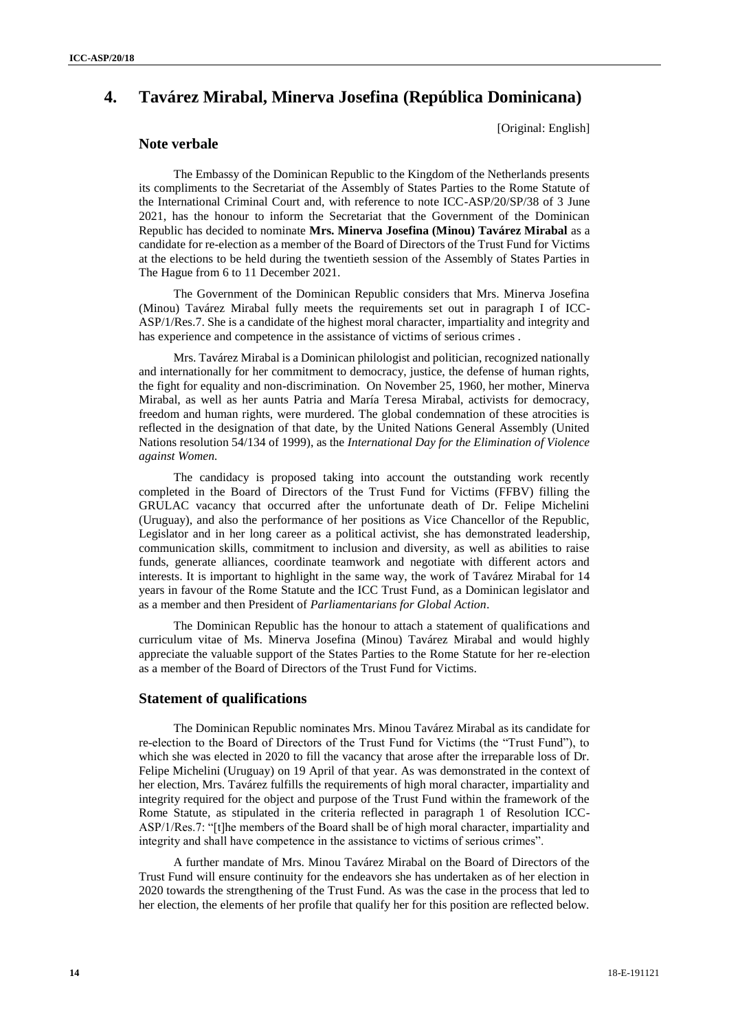# **4. Tavárez Mirabal, Minerva Josefina (República Dominicana)**

[Original: English]

# **Note verbale**

The Embassy of the Dominican Republic to the Kingdom of the Netherlands presents its compliments to the Secretariat of the Assembly of States Parties to the Rome Statute of the International Criminal Court and, with reference to note ICC-ASP/20/SP/38 of 3 June 2021, has the honour to inform the Secretariat that the Government of the Dominican Republic has decided to nominate **Mrs. Minerva Josefina (Minou) Tavárez Mirabal** as a candidate for re-election as a member of the Board of Directors of the Trust Fund for Victims at the elections to be held during the twentieth session of the Assembly of States Parties in The Hague from 6 to 11 December 2021.

The Government of the Dominican Republic considers that Mrs. Minerva Josefina (Minou) Tavárez Mirabal fully meets the requirements set out in paragraph I of ICC-ASP/1/Res.7. She is a candidate of the highest moral character, impartiality and integrity and has experience and competence in the assistance of victims of serious crimes .

Mrs. Tavárez Mirabal is a Dominican philologist and politician, recognized nationally and internationally for her commitment to democracy, justice, the defense of human rights, the fight for equality and non-discrimination. On November 25, 1960, her mother, Minerva Mirabal, as well as her aunts Patria and María Teresa Mirabal, activists for democracy, freedom and human rights, were murdered. The global condemnation of these atrocities is reflected in the designation of that date, by the United Nations General Assembly (United Nations resolution 54/134 of 1999), as the *International Day for the Elimination of Violence against Women.* 

The candidacy is proposed taking into account the outstanding work recently completed in the Board of Directors of the Trust Fund for Victims (FFBV) filling the GRULAC vacancy that occurred after the unfortunate death of Dr. Felipe Michelini (Uruguay), and also the performance of her positions as Vice Chancellor of the Republic, Legislator and in her long career as a political activist, she has demonstrated leadership, communication skills, commitment to inclusion and diversity, as well as abilities to raise funds, generate alliances, coordinate teamwork and negotiate with different actors and interests. It is important to highlight in the same way, the work of Tavárez Mirabal for 14 years in favour of the Rome Statute and the ICC Trust Fund, as a Dominican legislator and as a member and then President of *Parliamentarians for Global Action*.

The Dominican Republic has the honour to attach a statement of qualifications and curriculum vitae of Ms. Minerva Josefina (Minou) Tavárez Mirabal and would highly appreciate the valuable support of the States Parties to the Rome Statute for her re-election as a member of the Board of Directors of the Trust Fund for Victims.

## **Statement of qualifications**

The Dominican Republic nominates Mrs. Minou Tavárez Mirabal as its candidate for re-election to the Board of Directors of the Trust Fund for Victims (the "Trust Fund"), to which she was elected in 2020 to fill the vacancy that arose after the irreparable loss of Dr. Felipe Michelini (Uruguay) on 19 April of that year. As was demonstrated in the context of her election, Mrs. Tavárez fulfills the requirements of high moral character, impartiality and integrity required for the object and purpose of the Trust Fund within the framework of the Rome Statute, as stipulated in the criteria reflected in paragraph 1 of Resolution ICC-ASP/1/Res.7: "[t]he members of the Board shall be of high moral character, impartiality and integrity and shall have competence in the assistance to victims of serious crimes".

A further mandate of Mrs. Minou Tavárez Mirabal on the Board of Directors of the Trust Fund will ensure continuity for the endeavors she has undertaken as of her election in 2020 towards the strengthening of the Trust Fund. As was the case in the process that led to her election, the elements of her profile that qualify her for this position are reflected below.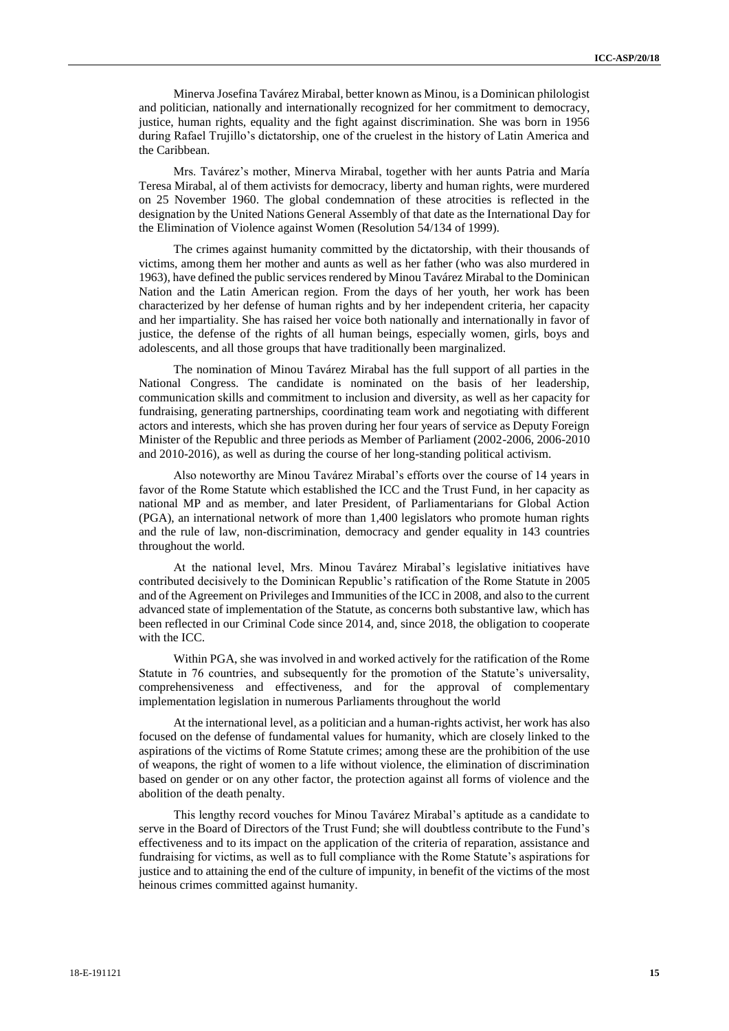Minerva Josefina Tavárez Mirabal, better known as Minou, is a Dominican philologist and politician, nationally and internationally recognized for her commitment to democracy, justice, human rights, equality and the fight against discrimination. She was born in 1956 during Rafael Trujillo's dictatorship, one of the cruelest in the history of Latin America and the Caribbean.

Mrs. Tavárez's mother, Minerva Mirabal, together with her aunts Patria and María Teresa Mirabal, al of them activists for democracy, liberty and human rights, were murdered on 25 November 1960. The global condemnation of these atrocities is reflected in the designation by the United Nations General Assembly of that date as the International Day for the Elimination of Violence against Women (Resolution 54/134 of 1999).

The crimes against humanity committed by the dictatorship, with their thousands of victims, among them her mother and aunts as well as her father (who was also murdered in 1963), have defined the public services rendered by Minou Tavárez Mirabal to the Dominican Nation and the Latin American region. From the days of her youth, her work has been characterized by her defense of human rights and by her independent criteria, her capacity and her impartiality. She has raised her voice both nationally and internationally in favor of justice, the defense of the rights of all human beings, especially women, girls, boys and adolescents, and all those groups that have traditionally been marginalized.

The nomination of Minou Tavárez Mirabal has the full support of all parties in the National Congress. The candidate is nominated on the basis of her leadership, communication skills and commitment to inclusion and diversity, as well as her capacity for fundraising, generating partnerships, coordinating team work and negotiating with different actors and interests, which she has proven during her four years of service as Deputy Foreign Minister of the Republic and three periods as Member of Parliament (2002-2006, 2006-2010 and 2010-2016), as well as during the course of her long-standing political activism.

Also noteworthy are Minou Tavárez Mirabal's efforts over the course of 14 years in favor of the Rome Statute which established the ICC and the Trust Fund, in her capacity as national MP and as member, and later President, of Parliamentarians for Global Action (PGA), an international network of more than 1,400 legislators who promote human rights and the rule of law, non-discrimination, democracy and gender equality in 143 countries throughout the world.

At the national level, Mrs. Minou Tavárez Mirabal's legislative initiatives have contributed decisively to the Dominican Republic's ratification of the Rome Statute in 2005 and of the Agreement on Privileges and Immunities of the ICC in 2008, and also to the current advanced state of implementation of the Statute, as concerns both substantive law, which has been reflected in our Criminal Code since 2014, and, since 2018, the obligation to cooperate with the ICC.

Within PGA, she was involved in and worked actively for the ratification of the Rome Statute in 76 countries, and subsequently for the promotion of the Statute's universality, comprehensiveness and effectiveness, and for the approval of complementary implementation legislation in numerous Parliaments throughout the world

At the international level, as a politician and a human-rights activist, her work has also focused on the defense of fundamental values for humanity, which are closely linked to the aspirations of the victims of Rome Statute crimes; among these are the prohibition of the use of weapons, the right of women to a life without violence, the elimination of discrimination based on gender or on any other factor, the protection against all forms of violence and the abolition of the death penalty.

This lengthy record vouches for Minou Tavárez Mirabal's aptitude as a candidate to serve in the Board of Directors of the Trust Fund; she will doubtless contribute to the Fund's effectiveness and to its impact on the application of the criteria of reparation, assistance and fundraising for victims, as well as to full compliance with the Rome Statute's aspirations for justice and to attaining the end of the culture of impunity, in benefit of the victims of the most heinous crimes committed against humanity.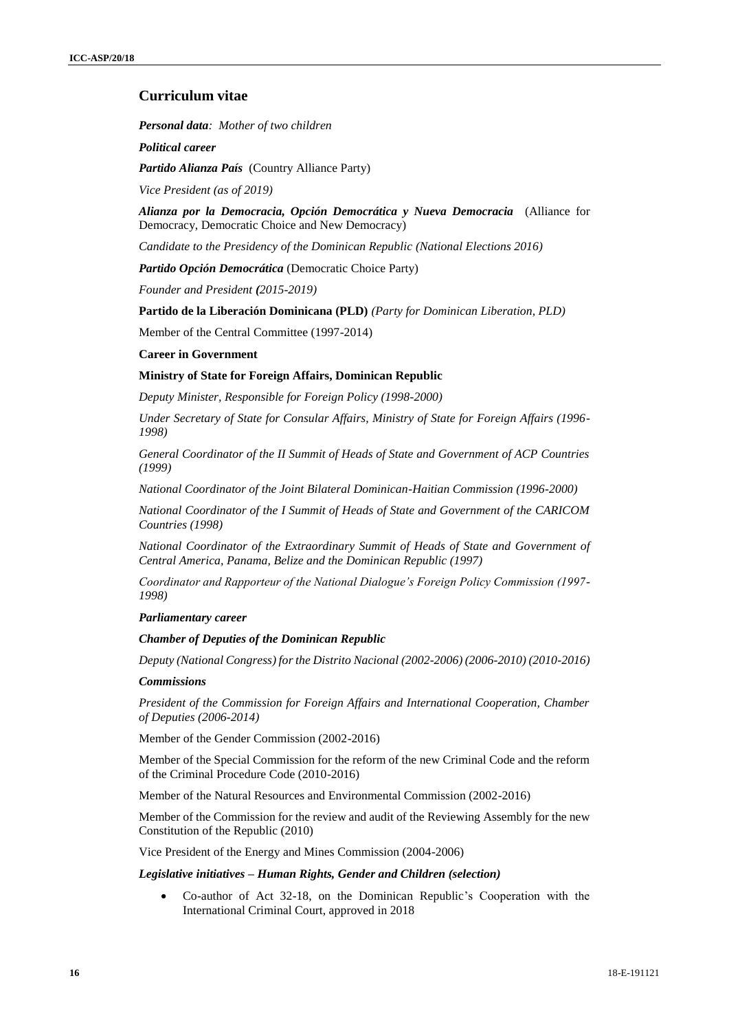# **Curriculum vitae**

*Personal data: Mother of two children* 

*Political career*

*Partido Alianza País* (Country Alliance Party)

*Vice President (as of 2019)*

*Alianza por la Democracia, Opción Democrática y Nueva Democracia* (Alliance for Democracy, Democratic Choice and New Democracy)

*Candidate to the Presidency of the Dominican Republic (National Elections 2016)*

*Partido Opción Democrática* (Democratic Choice Party)

*Founder and President (2015-2019)*

**Partido de la Liberación Dominicana (PLD)** *(Party for Dominican Liberation, PLD)*

Member of the Central Committee (1997-2014)

**Career in Government**

## **Ministry of State for Foreign Affairs, Dominican Republic**

*Deputy Minister, Responsible for Foreign Policy (1998-2000)*

*Under Secretary of State for Consular Affairs, Ministry of State for Foreign Affairs (1996- 1998)*

*General Coordinator of the II Summit of Heads of State and Government of ACP Countries (1999)*

*National Coordinator of the Joint Bilateral Dominican-Haitian Commission (1996-2000)* 

*National Coordinator of the I Summit of Heads of State and Government of the CARICOM Countries (1998)*

*National Coordinator of the Extraordinary Summit of Heads of State and Government of Central America, Panama, Belize and the Dominican Republic (1997)*

*Coordinator and Rapporteur of the National Dialogue's Foreign Policy Commission (1997- 1998)*

#### *Parliamentary career*

### *Chamber of Deputies of the Dominican Republic*

*Deputy (National Congress) for the Distrito Nacional (2002-2006) (2006-2010) (2010-2016)*

#### *Commissions*

*President of the Commission for Foreign Affairs and International Cooperation, Chamber of Deputies (2006-2014)*

Member of the Gender Commission (2002-2016)

Member of the Special Commission for the reform of the new Criminal Code and the reform of the Criminal Procedure Code (2010-2016)

Member of the Natural Resources and Environmental Commission (2002-2016)

Member of the Commission for the review and audit of the Reviewing Assembly for the new Constitution of the Republic (2010)

Vice President of the Energy and Mines Commission (2004-2006)

## *Legislative initiatives – Human Rights, Gender and Children (selection)*

 Co-author of Act 32-18, on the Dominican Republic's Cooperation with the International Criminal Court, approved in 2018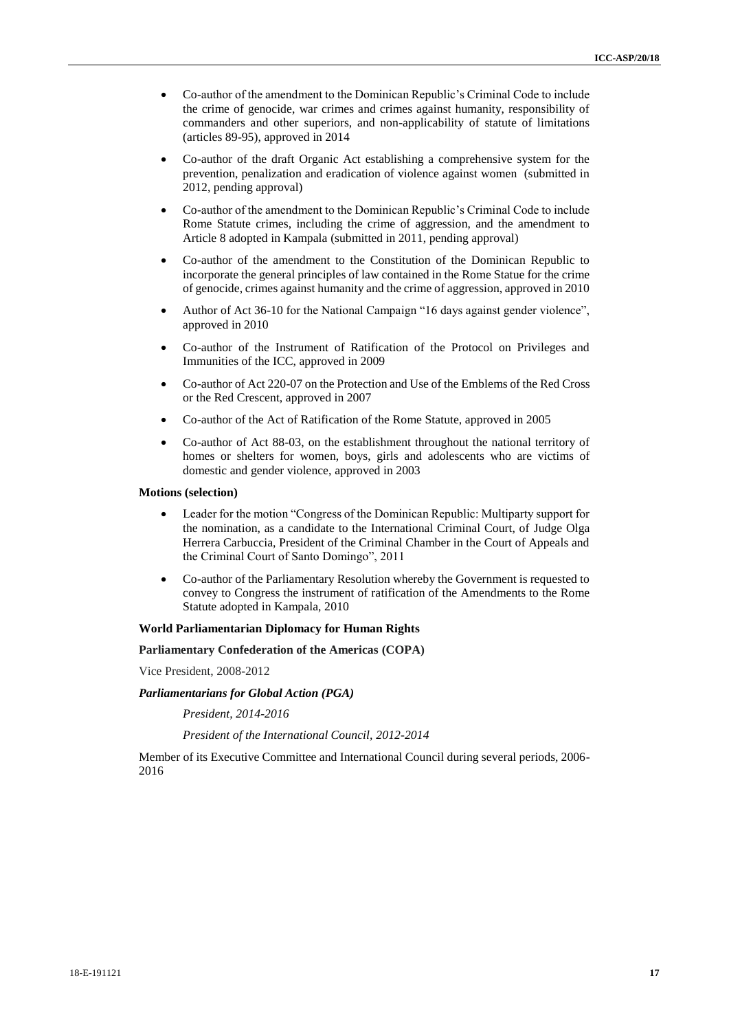- Co-author of the amendment to the Dominican Republic's Criminal Code to include the crime of genocide, war crimes and crimes against humanity, responsibility of commanders and other superiors, and non-applicability of statute of limitations (articles 89-95), approved in 2014
- Co-author of the draft Organic Act establishing a comprehensive system for the prevention, penalization and eradication of violence against women (submitted in 2012, pending approval)
- Co-author of the amendment to the Dominican Republic's Criminal Code to include Rome Statute crimes, including the crime of aggression, and the amendment to Article 8 adopted in Kampala (submitted in 2011, pending approval)
- Co-author of the amendment to the Constitution of the Dominican Republic to incorporate the general principles of law contained in the Rome Statue for the crime of genocide, crimes against humanity and the crime of aggression, approved in 2010
- Author of Act 36-10 for the National Campaign "16 days against gender violence", approved in 2010
- Co-author of the Instrument of Ratification of the Protocol on Privileges and Immunities of the ICC, approved in 2009
- Co-author of Act 220-07 on the Protection and Use of the Emblems of the Red Cross or the Red Crescent, approved in 2007
- Co-author of the Act of Ratification of the Rome Statute, approved in 2005
- Co-author of Act 88-03, on the establishment throughout the national territory of homes or shelters for women, boys, girls and adolescents who are victims of domestic and gender violence, approved in 2003

#### **Motions (selection)**

- Leader for the motion "Congress of the Dominican Republic: Multiparty support for the nomination, as a candidate to the International Criminal Court, of Judge Olga Herrera Carbuccia, President of the Criminal Chamber in the Court of Appeals and the Criminal Court of Santo Domingo", 2011
- Co-author of the Parliamentary Resolution whereby the Government is requested to convey to Congress the instrument of ratification of the Amendments to the Rome Statute adopted in Kampala, 2010

### **World Parliamentarian Diplomacy for Human Rights**

**Parliamentary Confederation of the Americas (COPA)** 

Vice President, 2008-2012

#### *Parliamentarians for Global Action (PGA)*

*President, 2014-2016*

*President of the International Council, 2012-2014*

Member of its Executive Committee and International Council during several periods, 2006- 2016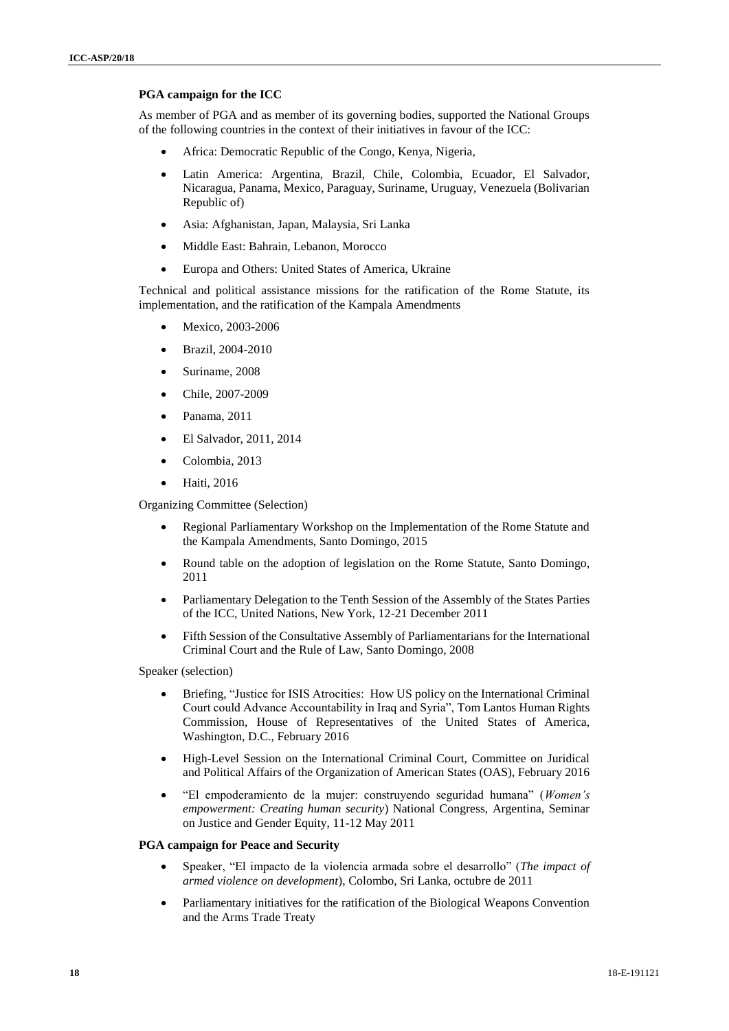## **PGA campaign for the ICC**

As member of PGA and as member of its governing bodies, supported the National Groups of the following countries in the context of their initiatives in favour of the ICC:

- Africa: Democratic Republic of the Congo, Kenya, Nigeria,
- Latin America: Argentina, Brazil, Chile, Colombia, Ecuador, El Salvador, Nicaragua, Panama, Mexico, Paraguay, Suriname, Uruguay, Venezuela (Bolivarian Republic of)
- Asia: Afghanistan, Japan, Malaysia, Sri Lanka
- Middle East: Bahrain, Lebanon, Morocco
- Europa and Others: United States of America, Ukraine

Technical and political assistance missions for the ratification of the Rome Statute, its implementation, and the ratification of the Kampala Amendments

- Mexico, 2003-2006
- Brazil, 2004-2010
- Suriname, 2008
- Chile, 2007-2009
- Panama, 2011
- El Salvador, 2011, 2014
- Colombia, 2013
- Haiti, 2016

Organizing Committee (Selection)

- Regional Parliamentary Workshop on the Implementation of the Rome Statute and the Kampala Amendments, Santo Domingo, 2015
- Round table on the adoption of legislation on the Rome Statute, Santo Domingo, 2011
- Parliamentary Delegation to the Tenth Session of the Assembly of the States Parties of the ICC, United Nations, New York, 12-21 December 2011
- Fifth Session of the Consultative Assembly of Parliamentarians for the International Criminal Court and the Rule of Law, Santo Domingo, 2008

Speaker (selection)

- Briefing, "Justice for ISIS Atrocities: How US policy on the International Criminal Court could Advance Accountability in Iraq and Syria", Tom Lantos Human Rights Commission, House of Representatives of the United States of America, Washington, D.C., February 2016
- High-Level Session on the International Criminal Court, Committee on Juridical and Political Affairs of the Organization of American States (OAS), February 2016
- "El empoderamiento de la mujer: construyendo seguridad humana" (*Women's empowerment: Creating human security*) National Congress, Argentina, Seminar on Justice and Gender Equity, 11-12 May 2011

## **PGA campaign for Peace and Security**

- Speaker, "El impacto de la violencia armada sobre el desarrollo" (*The impact of armed violence on development*), Colombo, Sri Lanka, octubre de 2011
- Parliamentary initiatives for the ratification of the Biological Weapons Convention and the Arms Trade Treaty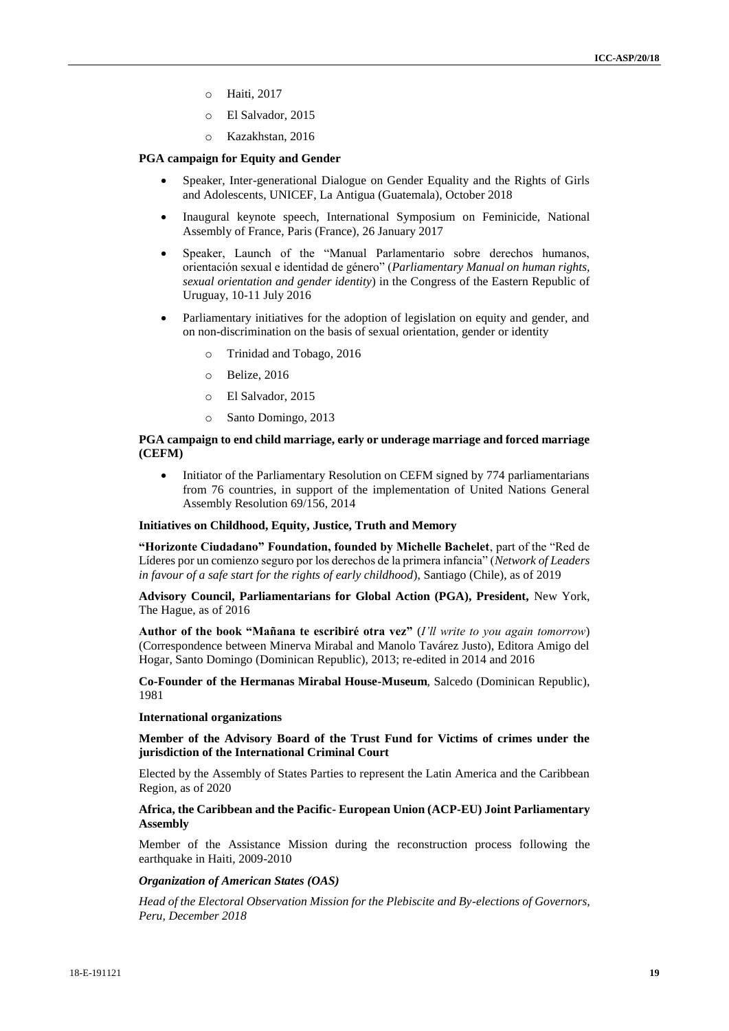- o Haiti, 2017
- o El Salvador, 2015
- o Kazakhstan, 2016

## **PGA campaign for Equity and Gender**

- Speaker, Inter-generational Dialogue on Gender Equality and the Rights of Girls and Adolescents, UNICEF, La Antigua (Guatemala), October 2018
- Inaugural keynote speech, International Symposium on Feminicide, National Assembly of France, Paris (France), 26 January 2017
- Speaker, Launch of the "Manual Parlamentario sobre derechos humanos, orientación sexual e identidad de género" (*Parliamentary Manual on human rights, sexual orientation and gender identity*) in the Congress of the Eastern Republic of Uruguay, 10-11 July 2016
- Parliamentary initiatives for the adoption of legislation on equity and gender, and on non-discrimination on the basis of sexual orientation, gender or identity
	- Trinidad and Tobago, 2016
	- o Belize, 2016
	- o El Salvador, 2015
	- o Santo Domingo, 2013

## **PGA campaign to end child marriage, early or underage marriage and forced marriage (CEFM)**

• Initiator of the Parliamentary Resolution on CEFM signed by 774 parliamentarians from 76 countries, in support of the implementation of United Nations General Assembly Resolution 69/156, 2014

#### **Initiatives on Childhood, Equity, Justice, Truth and Memory**

**"Horizonte Ciudadano" Foundation, founded by Michelle Bachelet**, part of the "Red de Líderes por un comienzo seguro por los derechos de la primera infancia" (*Network of Leaders in favour of a safe start for the rights of early childhood*), Santiago (Chile), as of 2019

**Advisory Council, Parliamentarians for Global Action (PGA), President,** New York, The Hague, as of 2016

**Author of the book "Mañana te escribiré otra vez"** (*I'll write to you again tomorrow*) (Correspondence between Minerva Mirabal and Manolo Tavárez Justo), Editora Amigo del Hogar, Santo Domingo (Dominican Republic), 2013; re-edited in 2014 and 2016

**Co-Founder of the Hermanas Mirabal House-Museum**, Salcedo (Dominican Republic), 1981

#### **International organizations**

**Member of the Advisory Board of the Trust Fund for Victims of crimes under the jurisdiction of the International Criminal Court**

Elected by the Assembly of States Parties to represent the Latin America and the Caribbean Region, as of 2020

## **Africa, the Caribbean and the Pacific- European Union (ACP-EU) Joint Parliamentary Assembly**

Member of the Assistance Mission during the reconstruction process following the earthquake in Haiti, 2009-2010

## *Organization of American States (OAS)*

*Head of the Electoral Observation Mission for the Plebiscite and By-elections of Governors, Peru, December 2018*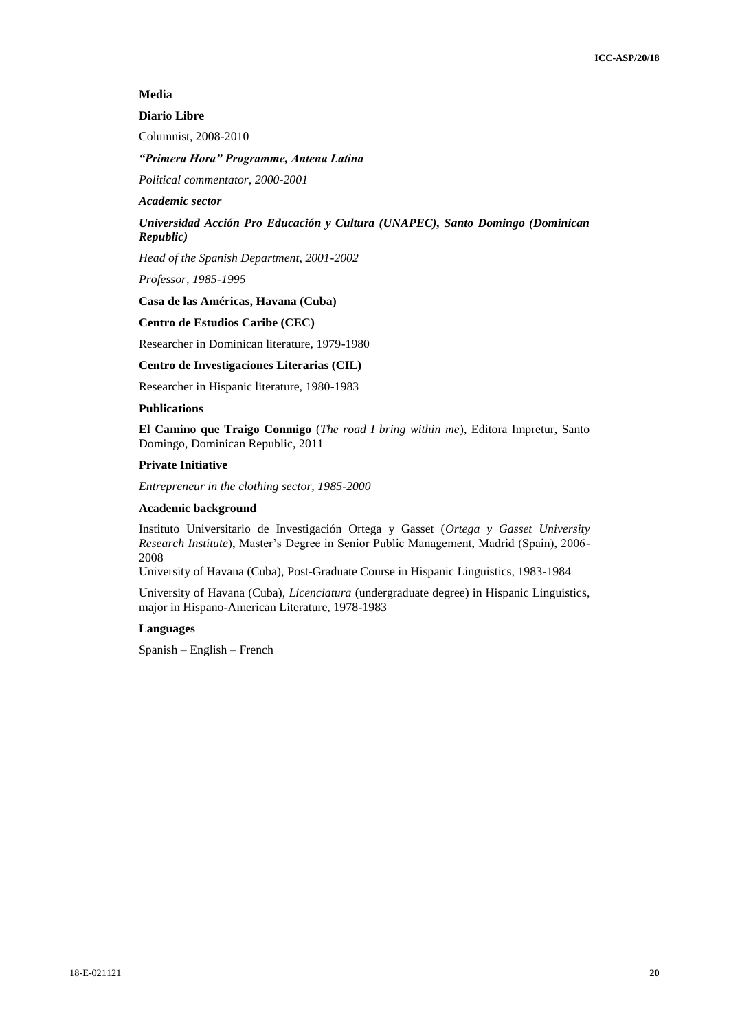# **Media**

# **Diario Libre**

Columnist, 2008-2010

## *"Primera Hora" Programme, Antena Latina*

*Political commentator, 2000-2001*

#### *Academic sector*

# *Universidad Acción Pro Educación y Cultura (UNAPEC), Santo Domingo (Dominican Republic)*

*Head of the Spanish Department, 2001-2002*

*Professor, 1985-1995*

## **Casa de las Américas, Havana (Cuba)**

## **Centro de Estudios Caribe (CEC)**

Researcher in Dominican literature, 1979-1980

### **Centro de Investigaciones Literarias (CIL)**

Researcher in Hispanic literature, 1980-1983

## **Publications**

**El Camino que Traigo Conmigo** (*The road I bring within me*), Editora Impretur, Santo Domingo, Dominican Republic, 2011

## **Private Initiative**

*Entrepreneur in the clothing sector, 1985-2000*

#### **Academic background**

Instituto Universitario de Investigación Ortega y Gasset (*Ortega y Gasset University Research Institute*), Master's Degree in Senior Public Management, Madrid (Spain), 2006- 2008

University of Havana (Cuba), Post-Graduate Course in Hispanic Linguistics, 1983-1984

University of Havana (Cuba), *Licenciatura* (undergraduate degree) in Hispanic Linguistics, major in Hispano-American Literature, 1978-1983

#### **Languages**

Spanish – English – French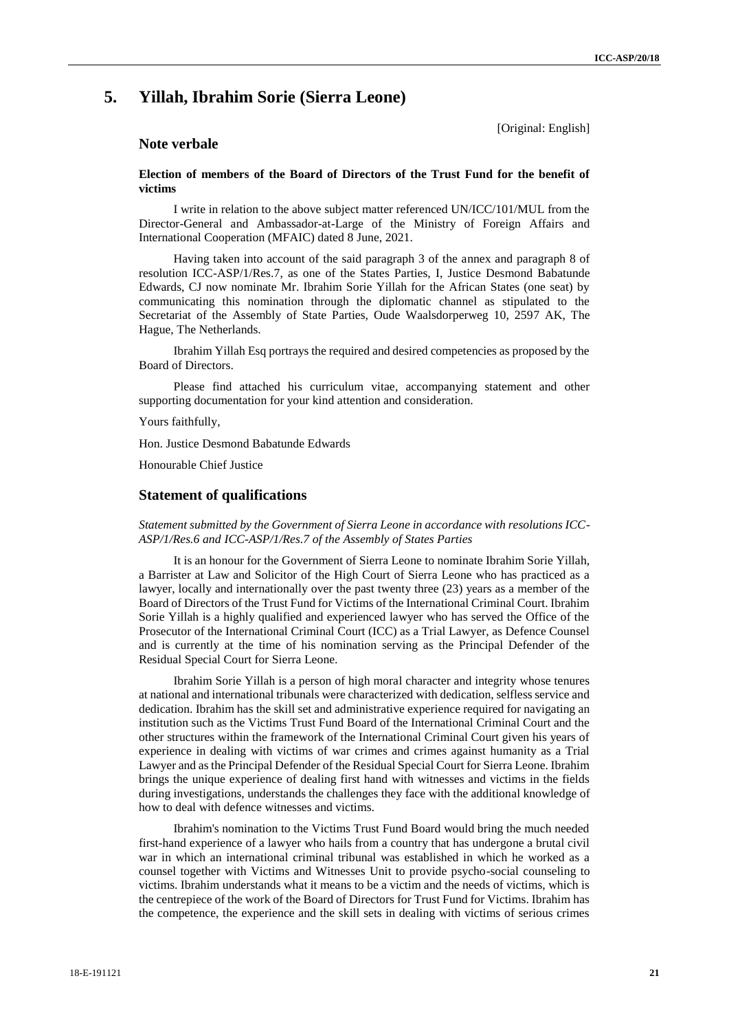# **5. Yillah, Ibrahim Sorie (Sierra Leone)**

[Original: English]

# **Note verbale**

## **Election of members of the Board of Directors of the Trust Fund for the benefit of victims**

I write in relation to the above subject matter referenced UN/ICC/101/MUL from the Director-General and Ambassador-at-Large of the Ministry of Foreign Affairs and International Cooperation (MFAIC) dated 8 June, 2021.

Having taken into account of the said paragraph 3 of the annex and paragraph 8 of resolution ICC-ASP/1/Res.7, as one of the States Parties, I, Justice Desmond Babatunde Edwards, CJ now nominate Mr. Ibrahim Sorie Yillah for the African States (one seat) by communicating this nomination through the diplomatic channel as stipulated to the Secretariat of the Assembly of State Parties, Oude Waalsdorperweg 10, 2597 AK, The Hague, The Netherlands.

Ibrahim Yillah Esq portrays the required and desired competencies as proposed by the Board of Directors.

Please find attached his curriculum vitae, accompanying statement and other supporting documentation for your kind attention and consideration.

Yours faithfully,

Hon. Justice Desmond Babatunde Edwards

Honourable Chief Justice

## **Statement of qualifications**

*Statement submitted by the Government of Sierra Leone in accordance with resolutions ICC-ASP/1/Res.6 and ICC-ASP/1/Res.7 of the Assembly of States Parties*

It is an honour for the Government of Sierra Leone to nominate Ibrahim Sorie Yillah, a Barrister at Law and Solicitor of the High Court of Sierra Leone who has practiced as a lawyer, locally and internationally over the past twenty three (23) years as a member of the Board of Directors of the Trust Fund for Victims of the International Criminal Court. Ibrahim Sorie Yillah is a highly qualified and experienced lawyer who has served the Office of the Prosecutor of the International Criminal Court (ICC) as a Trial Lawyer, as Defence Counsel and is currently at the time of his nomination serving as the Principal Defender of the Residual Special Court for Sierra Leone.

Ibrahim Sorie Yillah is a person of high moral character and integrity whose tenures at national and international tribunals were characterized with dedication, selfless service and dedication. Ibrahim has the skill set and administrative experience required for navigating an institution such as the Victims Trust Fund Board of the International Criminal Court and the other structures within the framework of the International Criminal Court given his years of experience in dealing with victims of war crimes and crimes against humanity as a Trial Lawyer and as the Principal Defender of the Residual Special Court for Sierra Leone. Ibrahim brings the unique experience of dealing first hand with witnesses and victims in the fields during investigations, understands the challenges they face with the additional knowledge of how to deal with defence witnesses and victims.

Ibrahim's nomination to the Victims Trust Fund Board would bring the much needed first-hand experience of a lawyer who hails from a country that has undergone a brutal civil war in which an international criminal tribunal was established in which he worked as a counsel together with Victims and Witnesses Unit to provide psycho-social counseling to victims. Ibrahim understands what it means to be a victim and the needs of victims, which is the centrepiece of the work of the Board of Directors for Trust Fund for Victims. Ibrahim has the competence, the experience and the skill sets in dealing with victims of serious crimes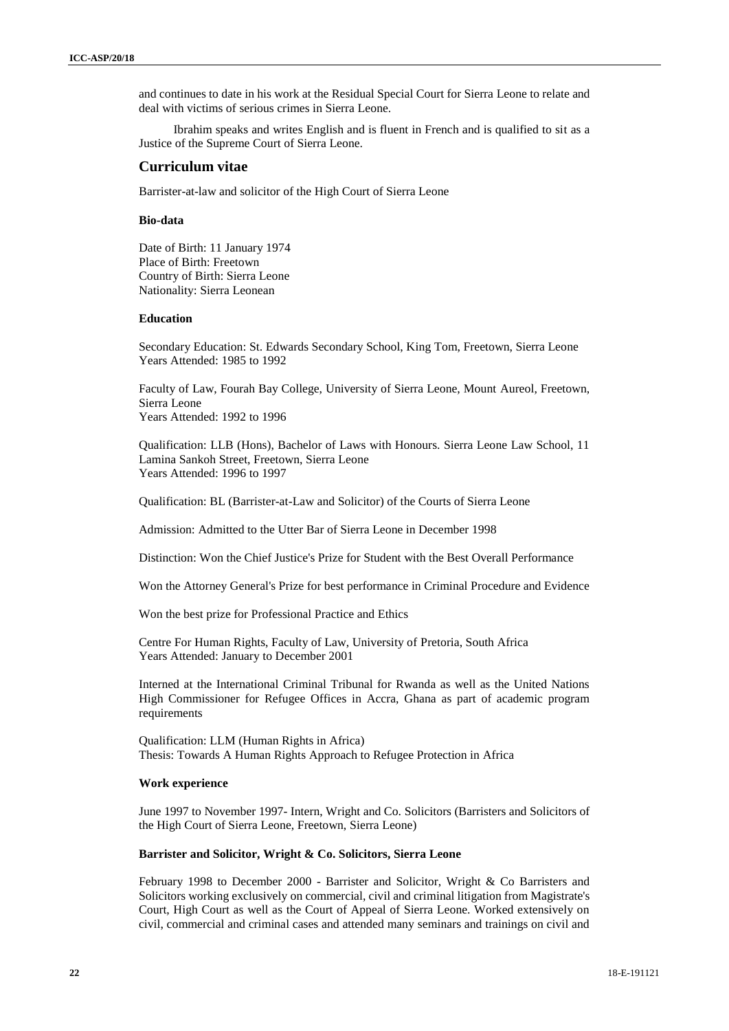and continues to date in his work at the Residual Special Court for Sierra Leone to relate and deal with victims of serious crimes in Sierra Leone.

Ibrahim speaks and writes English and is fluent in French and is qualified to sit as a Justice of the Supreme Court of Sierra Leone.

## **Curriculum vitae**

Barrister-at-law and solicitor of the High Court of Sierra Leone

## **Bio-data**

Date of Birth: 11 January 1974 Place of Birth: Freetown Country of Birth: Sierra Leone Nationality: Sierra Leonean

#### **Education**

Secondary Education: St. Edwards Secondary School, King Tom, Freetown, Sierra Leone Years Attended: 1985 to 1992

Faculty of Law, Fourah Bay College, University of Sierra Leone, Mount Aureol, Freetown, Sierra Leone Years Attended: 1992 to 1996

Qualification: LLB (Hons), Bachelor of Laws with Honours. Sierra Leone Law School, 11 Lamina Sankoh Street, Freetown, Sierra Leone Years Attended: 1996 to 1997

Qualification: BL (Barrister-at-Law and Solicitor) of the Courts of Sierra Leone

Admission: Admitted to the Utter Bar of Sierra Leone in December 1998

Distinction: Won the Chief Justice's Prize for Student with the Best Overall Performance

Won the Attorney General's Prize for best performance in Criminal Procedure and Evidence

Won the best prize for Professional Practice and Ethics

Centre For Human Rights, Faculty of Law, University of Pretoria, South Africa Years Attended: January to December 2001

Interned at the International Criminal Tribunal for Rwanda as well as the United Nations High Commissioner for Refugee Offices in Accra, Ghana as part of academic program requirements

Qualification: LLM (Human Rights in Africa) Thesis: Towards A Human Rights Approach to Refugee Protection in Africa

## **Work experience**

June 1997 to November 1997- Intern, Wright and Co. Solicitors (Barristers and Solicitors of the High Court of Sierra Leone, Freetown, Sierra Leone)

#### **Barrister and Solicitor, Wright & Co. Solicitors, Sierra Leone**

February 1998 to December 2000 - Barrister and Solicitor, Wright & Co Barristers and Solicitors working exclusively on commercial, civil and criminal litigation from Magistrate's Court, High Court as well as the Court of Appeal of Sierra Leone. Worked extensively on civil, commercial and criminal cases and attended many seminars and trainings on civil and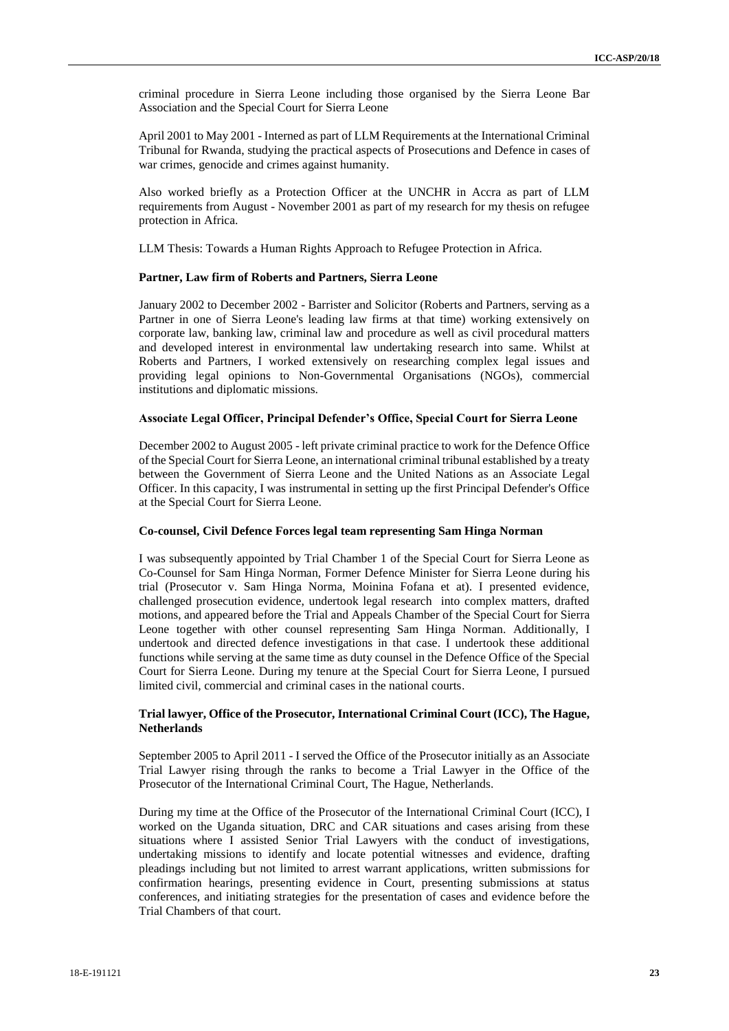criminal procedure in Sierra Leone including those organised by the Sierra Leone Bar Association and the Special Court for Sierra Leone

April 2001 to May 2001 - Interned as part of LLM Requirements at the International Criminal Tribunal for Rwanda, studying the practical aspects of Prosecutions and Defence in cases of war crimes, genocide and crimes against humanity.

Also worked briefly as a Protection Officer at the UNCHR in Accra as part of LLM requirements from August - November 2001 as part of my research for my thesis on refugee protection in Africa.

LLM Thesis: Towards a Human Rights Approach to Refugee Protection in Africa.

#### **Partner, Law firm of Roberts and Partners, Sierra Leone**

January 2002 to December 2002 - Barrister and Solicitor (Roberts and Partners, serving as a Partner in one of Sierra Leone's leading law firms at that time) working extensively on corporate law, banking law, criminal law and procedure as well as civil procedural matters and developed interest in environmental law undertaking research into same. Whilst at Roberts and Partners, I worked extensively on researching complex legal issues and providing legal opinions to Non-Governmental Organisations (NGOs), commercial institutions and diplomatic missions.

#### **Associate Legal Officer, Principal Defender's Office, Special Court for Sierra Leone**

December 2002 to August 2005 - left private criminal practice to work for the Defence Office of the Special Court for Sierra Leone, an international criminal tribunal established by a treaty between the Government of Sierra Leone and the United Nations as an Associate Legal Officer. In this capacity, I was instrumental in setting up the first Principal Defender's Office at the Special Court for Sierra Leone.

#### **Co-counsel, Civil Defence Forces legal team representing Sam Hinga Norman**

I was subsequently appointed by Trial Chamber 1 of the Special Court for Sierra Leone as Co-Counsel for Sam Hinga Norman, Former Defence Minister for Sierra Leone during his trial (Prosecutor v. Sam Hinga Norma, Moinina Fofana et at). I presented evidence, challenged prosecution evidence, undertook legal research into complex matters, drafted motions, and appeared before the Trial and Appeals Chamber of the Special Court for Sierra Leone together with other counsel representing Sam Hinga Norman. Additionally, I undertook and directed defence investigations in that case. I undertook these additional functions while serving at the same time as duty counsel in the Defence Office of the Special Court for Sierra Leone. During my tenure at the Special Court for Sierra Leone, I pursued limited civil, commercial and criminal cases in the national courts.

## **Trial lawyer, Office of the Prosecutor, International Criminal Court (ICC), The Hague, Netherlands**

September 2005 to April 2011 - I served the Office of the Prosecutor initially as an Associate Trial Lawyer rising through the ranks to become a Trial Lawyer in the Office of the Prosecutor of the International Criminal Court, The Hague, Netherlands.

During my time at the Office of the Prosecutor of the International Criminal Court (ICC), I worked on the Uganda situation, DRC and CAR situations and cases arising from these situations where I assisted Senior Trial Lawyers with the conduct of investigations, undertaking missions to identify and locate potential witnesses and evidence, drafting pleadings including but not limited to arrest warrant applications, written submissions for confirmation hearings, presenting evidence in Court, presenting submissions at status conferences, and initiating strategies for the presentation of cases and evidence before the Trial Chambers of that court.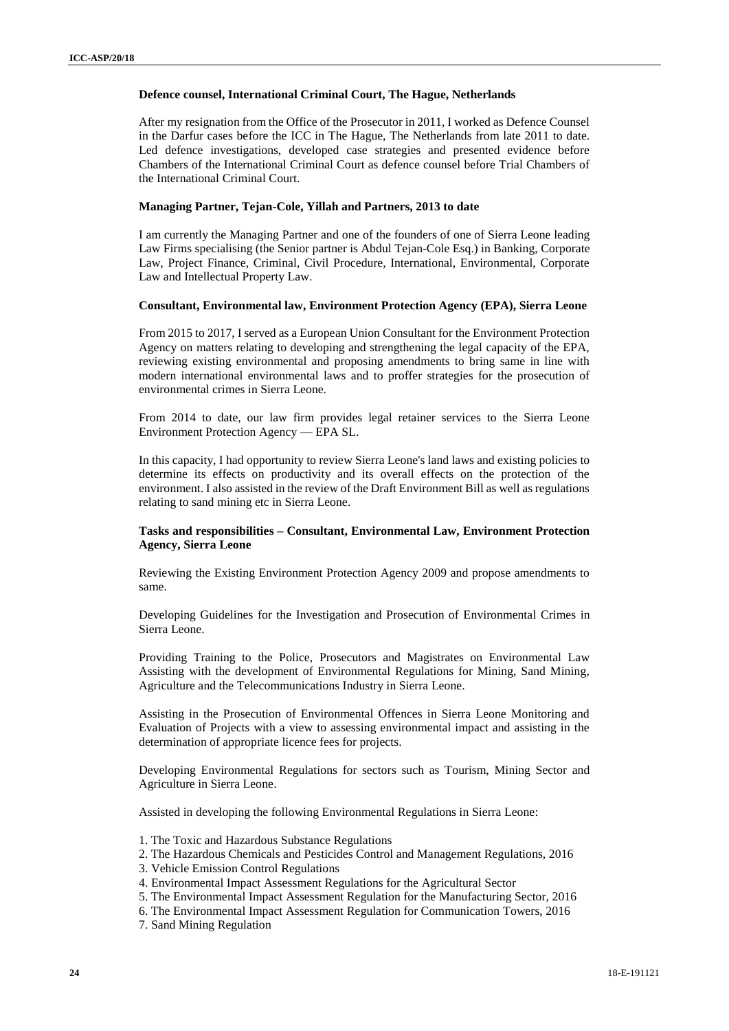#### **Defence counsel, International Criminal Court, The Hague, Netherlands**

After my resignation from the Office of the Prosecutor in 2011, I worked as Defence Counsel in the Darfur cases before the ICC in The Hague, The Netherlands from late 2011 to date. Led defence investigations, developed case strategies and presented evidence before Chambers of the International Criminal Court as defence counsel before Trial Chambers of the International Criminal Court.

## **Managing Partner, Tejan-Cole, Yillah and Partners, 2013 to date**

I am currently the Managing Partner and one of the founders of one of Sierra Leone leading Law Firms specialising (the Senior partner is Abdul Tejan-Cole Esq.) in Banking, Corporate Law, Project Finance, Criminal, Civil Procedure, International, Environmental, Corporate Law and Intellectual Property Law.

#### **Consultant, Environmental law, Environment Protection Agency (EPA), Sierra Leone**

From 2015 to 2017, I served as a European Union Consultant for the Environment Protection Agency on matters relating to developing and strengthening the legal capacity of the EPA, reviewing existing environmental and proposing amendments to bring same in line with modern international environmental laws and to proffer strategies for the prosecution of environmental crimes in Sierra Leone.

From 2014 to date, our law firm provides legal retainer services to the Sierra Leone Environment Protection Agency — EPA SL.

In this capacity, I had opportunity to review Sierra Leone's land laws and existing policies to determine its effects on productivity and its overall effects on the protection of the environment. I also assisted in the review of the Draft Environment Bill as well as regulations relating to sand mining etc in Sierra Leone.

## **Tasks and responsibilities – Consultant, Environmental Law, Environment Protection Agency, Sierra Leone**

Reviewing the Existing Environment Protection Agency 2009 and propose amendments to same.

Developing Guidelines for the Investigation and Prosecution of Environmental Crimes in Sierra Leone.

Providing Training to the Police, Prosecutors and Magistrates on Environmental Law Assisting with the development of Environmental Regulations for Mining, Sand Mining, Agriculture and the Telecommunications Industry in Sierra Leone.

Assisting in the Prosecution of Environmental Offences in Sierra Leone Monitoring and Evaluation of Projects with a view to assessing environmental impact and assisting in the determination of appropriate licence fees for projects.

Developing Environmental Regulations for sectors such as Tourism, Mining Sector and Agriculture in Sierra Leone.

Assisted in developing the following Environmental Regulations in Sierra Leone:

- 1. The Toxic and Hazardous Substance Regulations
- 2. The Hazardous Chemicals and Pesticides Control and Management Regulations, 2016
- 3. Vehicle Emission Control Regulations
- 4. Environmental Impact Assessment Regulations for the Agricultural Sector
- 5. The Environmental Impact Assessment Regulation for the Manufacturing Sector, 2016
- 6. The Environmental Impact Assessment Regulation for Communication Towers, 2016
- 7. Sand Mining Regulation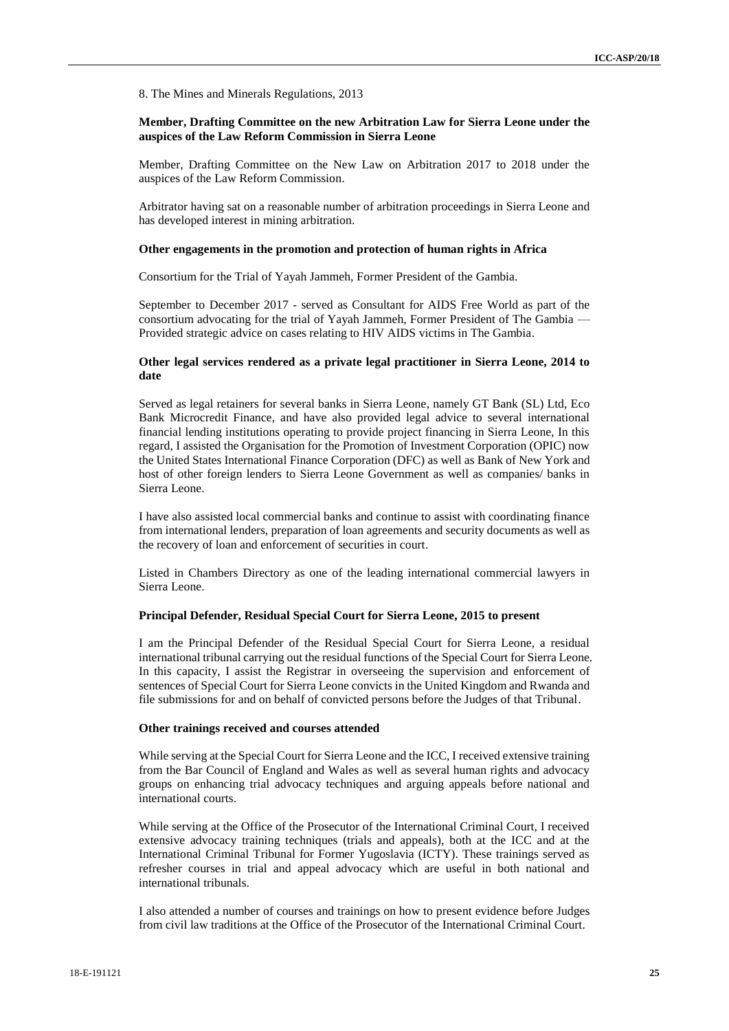8. The Mines and Minerals Regulations, 2013

## **Member, Drafting Committee on the new Arbitration Law for Sierra Leone under the auspices of the Law Reform Commission in Sierra Leone**

Member, Drafting Committee on the New Law on Arbitration 2017 to 2018 under the auspices of the Law Reform Commission.

Arbitrator having sat on a reasonable number of arbitration proceedings in Sierra Leone and has developed interest in mining arbitration.

#### **Other engagements in the promotion and protection of human rights in Africa**

Consortium for the Trial of Yayah Jammeh, Former President of the Gambia.

September to December 2017 - served as Consultant for AIDS Free World as part of the consortium advocating for the trial of Yayah Jammeh, Former President of The Gambia — Provided strategic advice on cases relating to HIV AIDS victims in The Gambia.

## **Other legal services rendered as a private legal practitioner in Sierra Leone, 2014 to date**

Served as legal retainers for several banks in Sierra Leone, namely GT Bank (SL) Ltd, Eco Bank Microcredit Finance, and have also provided legal advice to several international financial lending institutions operating to provide project financing in Sierra Leone, In this regard, I assisted the Organisation for the Promotion of Investment Corporation (OPIC) now the United States International Finance Corporation (DFC) as well as Bank of New York and host of other foreign lenders to Sierra Leone Government as well as companies/ banks in Sierra Leone.

I have also assisted local commercial banks and continue to assist with coordinating finance from international lenders, preparation of loan agreements and security documents as well as the recovery of loan and enforcement of securities in court.

Listed in Chambers Directory as one of the leading international commercial lawyers in Sierra Leone.

## **Principal Defender, Residual Special Court for Sierra Leone, 2015 to present**

I am the Principal Defender of the Residual Special Court for Sierra Leone, a residual international tribunal carrying out the residual functions of the Special Court for Sierra Leone. In this capacity, I assist the Registrar in overseeing the supervision and enforcement of sentences of Special Court for Sierra Leone convicts in the United Kingdom and Rwanda and file submissions for and on behalf of convicted persons before the Judges of that Tribunal.

#### **Other trainings received and courses attended**

While serving at the Special Court for Sierra Leone and the ICC, I received extensive training from the Bar Council of England and Wales as well as several human rights and advocacy groups on enhancing trial advocacy techniques and arguing appeals before national and international courts.

While serving at the Office of the Prosecutor of the International Criminal Court, I received extensive advocacy training techniques (trials and appeals), both at the ICC and at the International Criminal Tribunal for Former Yugoslavia (ICTY). These trainings served as refresher courses in trial and appeal advocacy which are useful in both national and international tribunals.

I also attended a number of courses and trainings on how to present evidence before Judges from civil law traditions at the Office of the Prosecutor of the International Criminal Court.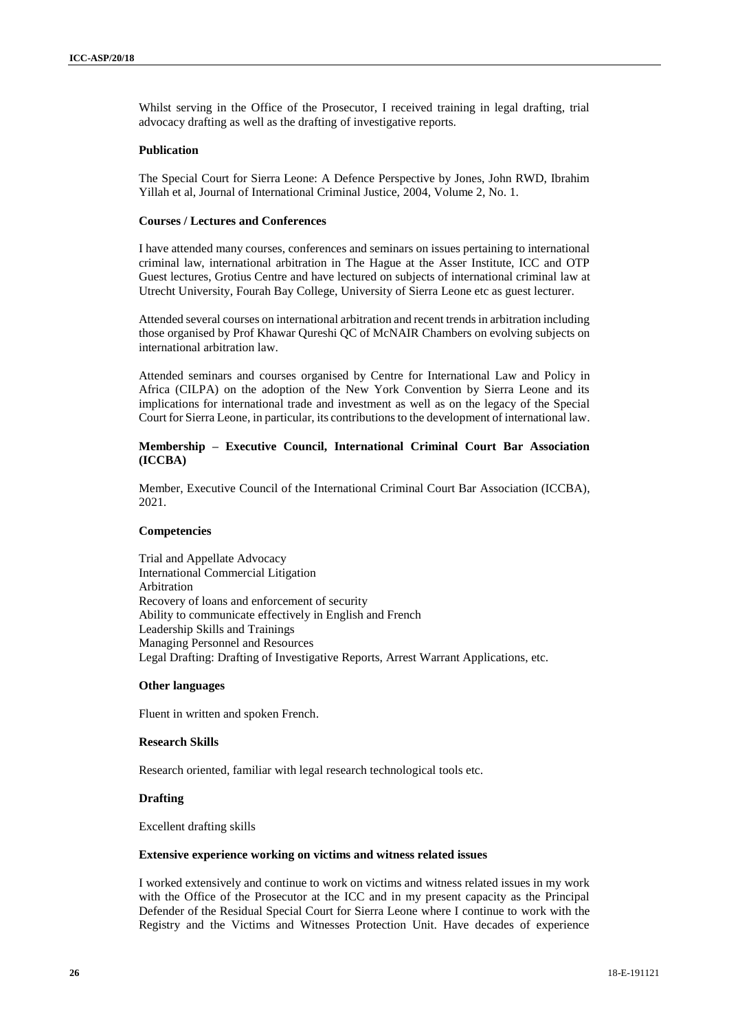Whilst serving in the Office of the Prosecutor, I received training in legal drafting, trial advocacy drafting as well as the drafting of investigative reports.

#### **Publication**

The Special Court for Sierra Leone: A Defence Perspective by Jones, John RWD, Ibrahim Yillah et al, Journal of International Criminal Justice, 2004, Volume 2, No. 1.

## **Courses / Lectures and Conferences**

I have attended many courses, conferences and seminars on issues pertaining to international criminal law, international arbitration in The Hague at the Asser Institute, ICC and OTP Guest lectures, Grotius Centre and have lectured on subjects of international criminal law at Utrecht University, Fourah Bay College, University of Sierra Leone etc as guest lecturer.

Attended several courses on international arbitration and recent trends in arbitration including those organised by Prof Khawar Qureshi QC of McNAIR Chambers on evolving subjects on international arbitration law.

Attended seminars and courses organised by Centre for International Law and Policy in Africa (CILPA) on the adoption of the New York Convention by Sierra Leone and its implications for international trade and investment as well as on the legacy of the Special Court for Sierra Leone, in particular, its contributions to the development of international law.

## **Membership – Executive Council, International Criminal Court Bar Association (ICCBA)**

Member, Executive Council of the International Criminal Court Bar Association (ICCBA), 2021.

## **Competencies**

Trial and Appellate Advocacy International Commercial Litigation Arbitration Recovery of loans and enforcement of security Ability to communicate effectively in English and French Leadership Skills and Trainings Managing Personnel and Resources Legal Drafting: Drafting of Investigative Reports, Arrest Warrant Applications, etc.

#### **Other languages**

Fluent in written and spoken French.

## **Research Skills**

Research oriented, familiar with legal research technological tools etc.

# **Drafting**

Excellent drafting skills

## **Extensive experience working on victims and witness related issues**

I worked extensively and continue to work on victims and witness related issues in my work with the Office of the Prosecutor at the ICC and in my present capacity as the Principal Defender of the Residual Special Court for Sierra Leone where I continue to work with the Registry and the Victims and Witnesses Protection Unit. Have decades of experience